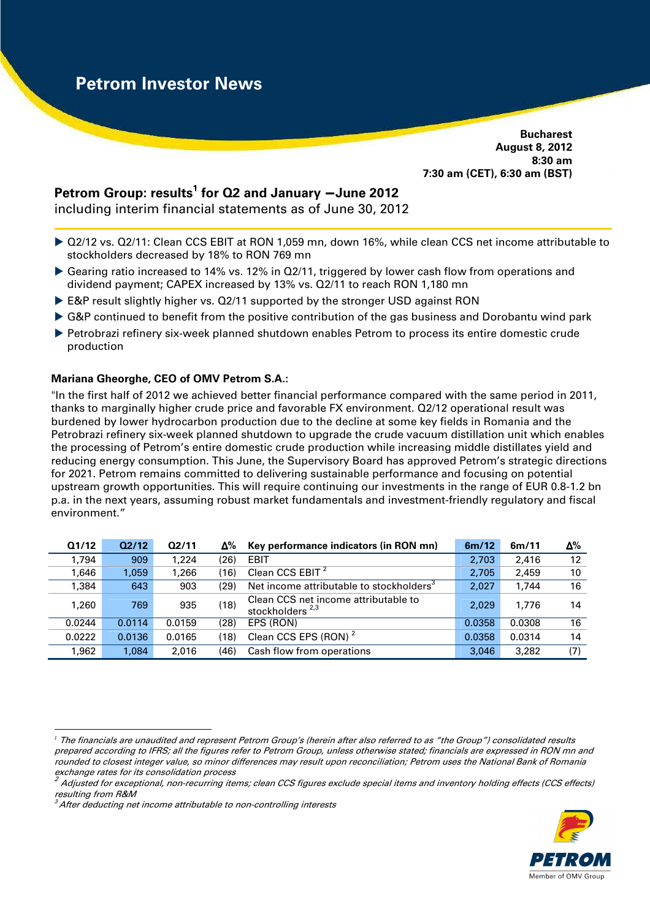**Bucharest August 8, 2012 8:30 am 7:30 am (CET), 6:30 am (BST)** 

# **Petrom Group: results<sup>1</sup> for Q2 and January** − **June 2012**

including interim financial statements as of June 30, 2012

- Q2/12 vs. Q2/11: Clean CCS EBIT at RON 1,059 mn, down 16%, while clean CCS net income attributable to stockholders decreased by 18% to RON 769 mn
- Gearing ratio increased to 14% vs. 12% in Q2/11, triggered by lower cash flow from operations and dividend payment; CAPEX increased by 13% vs. Q2/11 to reach RON 1,180 mn
- ► E&P result slightly higher vs. Q2/11 supported by the stronger USD against RON
- G&P continued to benefit from the positive contribution of the gas business and Dorobantu wind park
- Petrobrazi refinery six-week planned shutdown enables Petrom to process its entire domestic crude production

## **Mariana Gheorghe, CEO of OMV Petrom S.A.:**

"In the first half of 2012 we achieved better financial performance compared with the same period in 2011, thanks to marginally higher crude price and favorable FX environment. Q2/12 operational result was burdened by lower hydrocarbon production due to the decline at some key fields in Romania and the Petrobrazi refinery six-week planned shutdown to upgrade the crude vacuum distillation unit which enables the processing of Petrom's entire domestic crude production while increasing middle distillates yield and reducing energy consumption. This June, the Supervisory Board has approved Petrom's strategic directions for 2021. Petrom remains committed to delivering sustainable performance and focusing on potential upstream growth opportunities. This will require continuing our investments in the range of EUR 0.8-1.2 bn p.a. in the next years, assuming robust market fundamentals and investment-friendly regulatory and fiscal environment."

| Q1/12  | Q2/12  | Q2/11  | Δ%   | Key performance indicators (in RON mn)                              | 6m/12  | 6m/11  | Δ%  |
|--------|--------|--------|------|---------------------------------------------------------------------|--------|--------|-----|
| 1.794  | 909    | 1.224  | (26) | EBIT                                                                | 2.703  | 2.416  | 12  |
| 1.646  | 1.059  | 1,266  | (16) | Clean CCS EBIT <sup>2</sup>                                         | 2.705  | 2.459  | 10  |
| 1,384  | 643    | 903    | (29) | Net income attributable to stockholders <sup>3</sup>                | 2,027  | 1.744  | 16  |
| 1.260  | 769    | 935    | (18) | Clean CCS net income attributable to<br>stockholders <sup>2,3</sup> | 2.029  | 1.776  | 14  |
| 0.0244 | 0.0114 | 0.0159 | (28) | EPS (RON)                                                           | 0.0358 | 0.0308 | 16  |
| 0.0222 | 0.0136 | 0.0165 | (18) | Clean CCS EPS (RON) <sup>2</sup>                                    | 0.0358 | 0.0314 | 14  |
| 1,962  | 1,084  | 2.016  | (46) | Cash flow from operations                                           | 3.046  | 3.282  | (7) |



 $\overline{a}$ *<sup>1</sup>* The financials are unaudited and represent Petrom Group's (herein after also referred to as "the Group") consolidated results prepared according to IFRS; all the figures refer to Petrom Group, unless otherwise stated; financials are expressed in RON mn and rounded to closest integer value, so minor differences may result upon reconciliation; Petrom uses the National Bank of Romania exchange rates for its consolidation process

 $^2$  Adjusted for exceptional, non-recurring items; clean CCS figures exclude special items and inventory holding effects (CCS effects) resulting from R&M

 $3$  After deducting net income attributable to non-controlling interests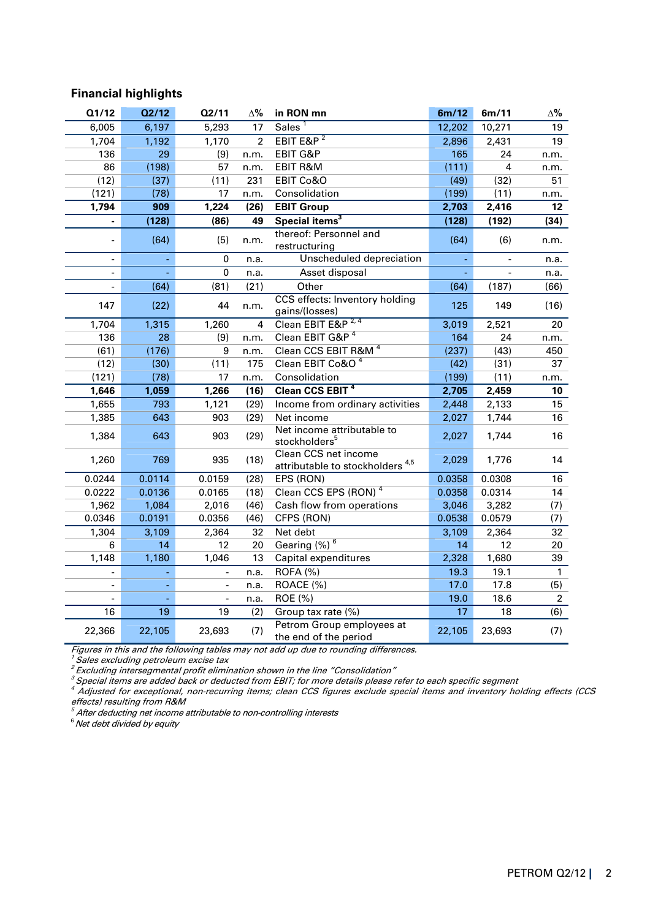## **Financial highlights**

| Q1/12                    | Q2/12  | Q2/11  | $\Delta\%$     | in RON mn                                                           | 6m/12  | 6m/11          | $\Delta\%$     |
|--------------------------|--------|--------|----------------|---------------------------------------------------------------------|--------|----------------|----------------|
| 6,005                    | 6,197  | 5,293  | 17             | Sales <sup>1</sup>                                                  | 12,202 | 10,271         | 19             |
| 1,704                    | 1,192  | 1,170  | $\overline{2}$ | EBIT E&P $2$                                                        | 2,896  | 2,431          | 19             |
| 136                      | 29     | (9)    | n.m.           | EBIT G&P                                                            | 165    | 24             | n.m.           |
| 86                       | (198)  | 57     | n.m.           | EBIT R&M                                                            | (111)  | 4              | n.m.           |
| (12)                     | (37)   | (11)   | 231            | EBIT Co&O                                                           | (49)   | (32)           | 51             |
| (121)                    | (78)   | 17     | n.m.           | Consolidation                                                       | (199)  | (11)           | n.m.           |
| 1,794                    | 909    | 1,224  | (26)           | <b>EBIT Group</b>                                                   | 2,703  | 2,416          | 12             |
|                          | (128)  | (86)   | 49             | Special items <sup>3</sup>                                          | (128)  | (192)          | (34)           |
|                          | (64)   | (5)    | n.m.           | thereof: Personnel and<br>restructuring                             | (64)   | (6)            | n.m.           |
| $\blacksquare$           |        | 0      | n.a.           | Unscheduled depreciation                                            |        | $\blacksquare$ | n.a.           |
| $\overline{\phantom{a}}$ |        | 0      | n.a.           | Asset disposal                                                      |        |                | n.a.           |
| $\overline{a}$           | (64)   | (81)   | (21)           | Other                                                               | (64)   | (187)          | (66)           |
| 147                      | (22)   | 44     | n.m.           | CCS effects: Inventory holding<br>gains/(losses)                    | 125    | 149            | (16)           |
| 1,704                    | 1,315  | 1,260  | 4              | Clean EBIT E&P <sup>2,4</sup>                                       | 3,019  | 2,521          | 20             |
| 136                      | 28     | (9)    | n.m.           | Clean EBIT G&P <sup>4</sup>                                         | 164    | 24             | n.m.           |
| (61)                     | (176)  | 9      | n.m.           | Clean CCS EBIT R&M <sup>4</sup>                                     | (237)  | (43)           | 450            |
| (12)                     | (30)   | (11)   | 175            | Clean EBIT Co&O <sup>4</sup>                                        | (42)   | (31)           | 37             |
| (121)                    | (78)   | 17     | n.m.           | Consolidation                                                       | (199)  | (11)           | n.m.           |
| 1,646                    | 1,059  | 1,266  | (16)           | Clean CCS EBIT <sup>4</sup>                                         | 2,705  | 2,459          | 10             |
| 1,655                    | 793    | 1,121  | (29)           | Income from ordinary activities                                     | 2,448  | 2,133          | 15             |
| 1,385                    | 643    | 903    | (29)           | Net income                                                          | 2,027  | 1,744          | 16             |
| 1,384                    | 643    | 903    | (29)           | Net income attributable to<br>stockholders <sup>5</sup>             | 2,027  | 1,744          | 16             |
| 1,260                    | 769    | 935    | (18)           | Clean CCS net income<br>attributable to stockholders <sup>4,5</sup> | 2,029  | 1,776          | 14             |
| 0.0244                   | 0.0114 | 0.0159 | (28)           | EPS (RON)                                                           | 0.0358 | 0.0308         | 16             |
| 0.0222                   | 0.0136 | 0.0165 | (18)           | Clean CCS EPS (RON)                                                 | 0.0358 | 0.0314         | 14             |
| 1,962                    | 1,084  | 2,016  | (46)           | Cash flow from operations                                           | 3,046  | 3,282          | (7)            |
| 0.0346                   | 0.0191 | 0.0356 | (46)           | CFPS (RON)                                                          | 0.0538 | 0.0579         | (7)            |
| 1,304                    | 3,109  | 2,364  | 32             | Net debt                                                            | 3,109  | 2,364          | 32             |
| 6                        | 14     | 12     | 20             | Gearing (%) <sup>6</sup>                                            | 14     | 12             | 20             |
| 1,148                    | 1,180  | 1,046  | 13             | Capital expenditures                                                | 2,328  | 1,680          | 39             |
|                          |        |        | n.a.           | ROFA (%)                                                            | 19.3   | 19.1           | $\mathbf{1}$   |
|                          |        |        | n.a.           | ROACE (%)                                                           | 17.0   | 17.8           | (5)            |
|                          |        |        | n.a.           | ROE (%)                                                             | 19.0   | 18.6           | $\overline{2}$ |
| 16                       | 19     | 19     | (2)            | Group tax rate (%)                                                  | 17     | 18             | (6)            |
| 22,366                   | 22,105 | 23,693 | (7)            | Petrom Group employees at<br>the end of the period                  | 22,105 | 23,693         | (7)            |

Figures in this and the following tables may not add up due to rounding differences.

 $^{\prime}$  Sales excluding petroleum excise tax

<sup>2</sup>Excluding intersegmental profit elimination shown in the line "Consolidation"

<sup>3</sup> Special items are added back or deducted from EBIT; for more details please refer to each specific segment<br><sup>4</sup> Adjusted for exceptional, non-recurring items; clean CCS figures exclude special items and inventory holdin effects) resulting from R&M

 $<sup>5</sup>$  After deducting net income attributable to non-controlling interests</sup>

 $6$  Net debt divided by equity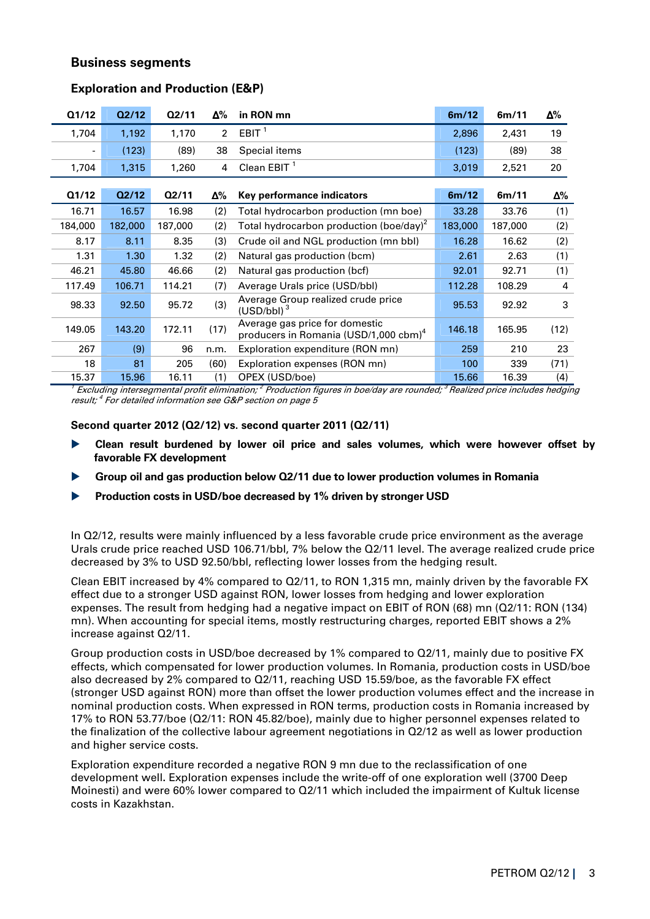## **Business segments**

| Q1/12   | Q2/12   | Q2/11   | Δ%             | in RON mn                                                                           | 6m/12   | 6m/11   | Δ%   |
|---------|---------|---------|----------------|-------------------------------------------------------------------------------------|---------|---------|------|
| 1,704   | 1,192   | 1,170   | $\overline{2}$ | EBIT <sup>1</sup>                                                                   | 2,896   | 2,431   | 19   |
| Ξ.      | (123)   | (89)    | 38             | Special items                                                                       | (123)   | (89)    | 38   |
| 1,704   | 1,315   | 1,260   | 4              | Clean EBIT $1$                                                                      | 3,019   | 2,521   | 20   |
|         |         |         |                |                                                                                     |         |         |      |
| Q1/12   | Q2/12   | Q2/11   | Δ%             | Key performance indicators                                                          | 6m/12   | 6m/11   | Δ%   |
| 16.71   | 16.57   | 16.98   | (2)            | Total hydrocarbon production (mn boe)                                               | 33.28   | 33.76   | (1)  |
| 184,000 | 182,000 | 187,000 | (2)            | Total hydrocarbon production (boe/day) <sup>2</sup>                                 | 183,000 | 187,000 | (2)  |
| 8.17    | 8.11    | 8.35    | (3)            | Crude oil and NGL production (mn bbl)                                               | 16.28   | 16.62   | (2)  |
| 1.31    | 1.30    | 1.32    | (2)            | Natural gas production (bcm)                                                        | 2.61    | 2.63    | (1)  |
| 46.21   | 45.80   | 46.66   | (2)            | Natural gas production (bcf)                                                        | 92.01   | 92.71   | (1)  |
| 117.49  | 106.71  | 114.21  | (7)            | Average Urals price (USD/bbl)                                                       | 112.28  | 108.29  | 4    |
| 98.33   | 92.50   | 95.72   | (3)            | Average Group realized crude price<br>(USD/bbl) <sup>3</sup>                        | 95.53   | 92.92   | 3    |
| 149.05  | 143.20  | 172.11  | (17)           | Average gas price for domestic<br>producers in Romania (USD/1,000 cbm) <sup>4</sup> | 146.18  | 165.95  | (12) |
| 267     | (9)     | 96      | n.m.           | Exploration expenditure (RON mn)                                                    | 259     | 210     | 23   |
| 18      | 81      | 205     | (60)           | Exploration expenses (RON mn)                                                       | 100     | 339     | (71) |
| 15.37   | 15.96   | 16.11   | (1)            | OPEX (USD/boe)                                                                      | 15.66   | 16.39   | (4)  |

## **Exploration and Production (E&P)**

1 Excluding intersegmental profit elimination;<sup>2</sup> Production figures in boe/day are rounded;<sup>3</sup> Realized price includes hedging result;  $^4$  For detailed information see G&P section on page 5

**Second quarter 2012 (Q2/12) vs. second quarter 2011 (Q2/11)** 

- **Clean result burdened by lower oil price and sales volumes, which were however offset by favorable FX development**
- **Group oil and gas production below Q2/11 due to lower production volumes in Romania**
- **Production costs in USD/boe decreased by 1% driven by stronger USD**

In Q2/12, results were mainly influenced by a less favorable crude price environment as the average Urals crude price reached USD 106.71/bbl, 7% below the Q2/11 level. The average realized crude price decreased by 3% to USD 92.50/bbl, reflecting lower losses from the hedging result.

Clean EBIT increased by 4% compared to Q2/11, to RON 1,315 mn, mainly driven by the favorable FX effect due to a stronger USD against RON, lower losses from hedging and lower exploration expenses. The result from hedging had a negative impact on EBIT of RON (68) mn (Q2/11: RON (134) mn). When accounting for special items, mostly restructuring charges, reported EBIT shows a 2% increase against Q2/11.

Group production costs in USD/boe decreased by 1% compared to Q2/11, mainly due to positive FX effects, which compensated for lower production volumes. In Romania, production costs in USD/boe also decreased by 2% compared to Q2/11, reaching USD 15.59/boe, as the favorable FX effect (stronger USD against RON) more than offset the lower production volumes effect and the increase in nominal production costs. When expressed in RON terms, production costs in Romania increased by 17% to RON 53.77/boe (Q2/11: RON 45.82/boe), mainly due to higher personnel expenses related to the finalization of the collective labour agreement negotiations in Q2/12 as well as lower production and higher service costs.

Exploration expenditure recorded a negative RON 9 mn due to the reclassification of one development well**.** Exploration expenses include the write-off of one exploration well (3700 Deep Moinesti) and were 60% lower compared to Q2/11 which included the impairment of Kultuk license costs in Kazakhstan.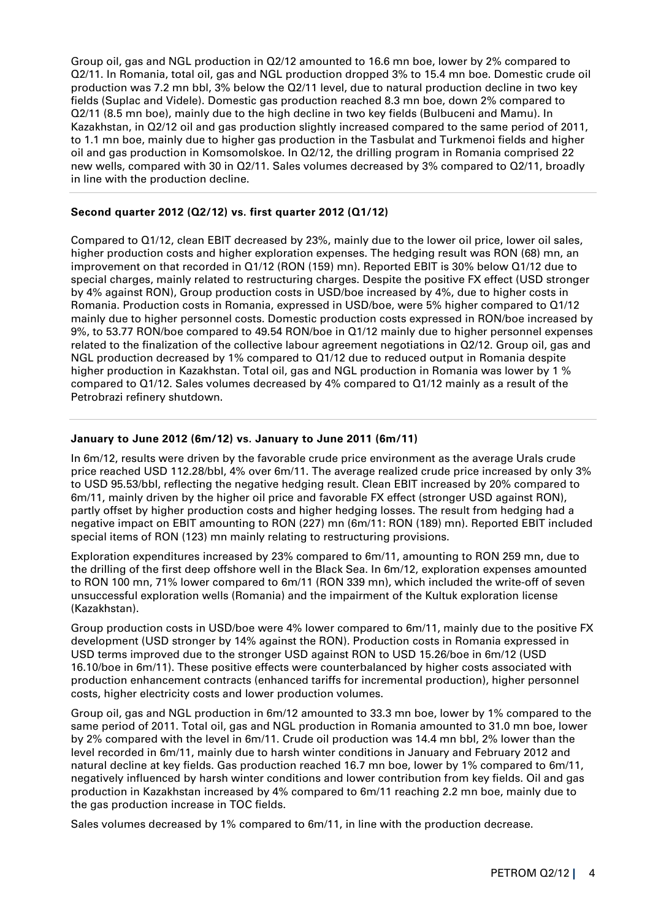Group oil, gas and NGL production in Q2/12 amounted to 16.6 mn boe, lower by 2% compared to Q2/11. In Romania, total oil, gas and NGL production dropped 3% to 15.4 mn boe. Domestic crude oil production was 7.2 mn bbl, 3% below the Q2/11 level, due to natural production decline in two key fields (Suplac and Videle). Domestic gas production reached 8.3 mn boe, down 2% compared to Q2/11 (8.5 mn boe), mainly due to the high decline in two key fields (Bulbuceni and Mamu). In Kazakhstan, in Q2/12 oil and gas production slightly increased compared to the same period of 2011, to 1.1 mn boe, mainly due to higher gas production in the Tasbulat and Turkmenoi fields and higher oil and gas production in Komsomolskoe. In Q2/12, the drilling program in Romania comprised 22 new wells, compared with 30 in Q2/11. Sales volumes decreased by 3% compared to Q2/11, broadly in line with the production decline.

## **Second quarter 2012 (Q2/12) vs. first quarter 2012 (Q1/12)**

Compared to Q1/12, clean EBIT decreased by 23%, mainly due to the lower oil price, lower oil sales, higher production costs and higher exploration expenses. The hedging result was RON (68) mn, an improvement on that recorded in Q1/12 (RON (159) mn). Reported EBIT is 30% below Q1/12 due to special charges, mainly related to restructuring charges. Despite the positive FX effect (USD stronger by 4% against RON), Group production costs in USD/boe increased by 4%, due to higher costs in Romania. Production costs in Romania, expressed in USD/boe, were 5% higher compared to Q1/12 mainly due to higher personnel costs. Domestic production costs expressed in RON/boe increased by 9%, to 53.77 RON/boe compared to 49.54 RON/boe in Q1/12 mainly due to higher personnel expenses related to the finalization of the collective labour agreement negotiations in Q2/12. Group oil, gas and NGL production decreased by 1% compared to Q1/12 due to reduced output in Romania despite higher production in Kazakhstan. Total oil, gas and NGL production in Romania was lower by 1 % compared to Q1/12. Sales volumes decreased by 4% compared to Q1/12 mainly as a result of the Petrobrazi refinery shutdown.

#### **January to June 2012 (6m/12) vs. January to June 2011 (6m/11)**

In 6m/12, results were driven by the favorable crude price environment as the average Urals crude price reached USD 112.28/bbl, 4% over 6m/11. The average realized crude price increased by only 3% to USD 95.53/bbl, reflecting the negative hedging result. Clean EBIT increased by 20% compared to 6m/11, mainly driven by the higher oil price and favorable FX effect (stronger USD against RON), partly offset by higher production costs and higher hedging losses. The result from hedging had a negative impact on EBIT amounting to RON (227) mn (6m/11: RON (189) mn). Reported EBIT included special items of RON (123) mn mainly relating to restructuring provisions.

Exploration expenditures increased by 23% compared to 6m/11, amounting to RON 259 mn, due to the drilling of the first deep offshore well in the Black Sea. In 6m/12, exploration expenses amounted to RON 100 mn, 71% lower compared to 6m/11 (RON 339 mn), which included the write-off of seven unsuccessful exploration wells (Romania) and the impairment of the Kultuk exploration license (Kazakhstan).

Group production costs in USD/boe were 4% lower compared to 6m/11, mainly due to the positive FX development (USD stronger by 14% against the RON). Production costs in Romania expressed in USD terms improved due to the stronger USD against RON to USD 15.26/boe in 6m/12 (USD 16.10/boe in 6m/11). These positive effects were counterbalanced by higher costs associated with production enhancement contracts (enhanced tariffs for incremental production), higher personnel costs, higher electricity costs and lower production volumes.

Group oil, gas and NGL production in 6m/12 amounted to 33.3 mn boe, lower by 1% compared to the same period of 2011. Total oil, gas and NGL production in Romania amounted to 31.0 mn boe, lower by 2% compared with the level in 6m/11. Crude oil production was 14.4 mn bbl, 2% lower than the level recorded in 6m/11, mainly due to harsh winter conditions in January and February 2012 and natural decline at key fields. Gas production reached 16.7 mn boe, lower by 1% compared to 6m/11, negatively influenced by harsh winter conditions and lower contribution from key fields. Oil and gas production in Kazakhstan increased by 4% compared to 6m/11 reaching 2.2 mn boe, mainly due to the gas production increase in TOC fields.

Sales volumes decreased by 1% compared to 6m/11, in line with the production decrease.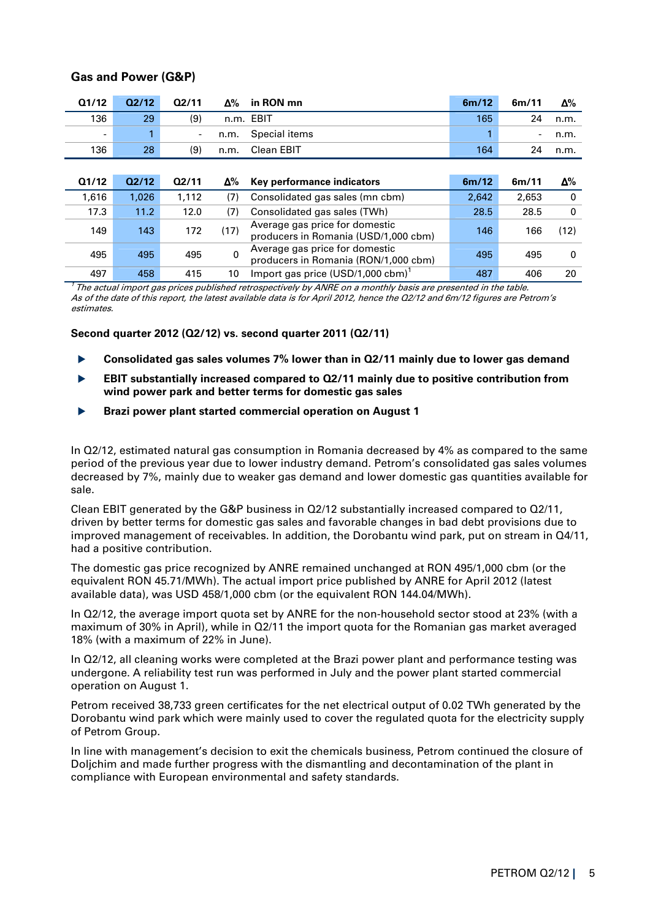| Q1/12                    | Q2/12 | Q2/11 | Δ%         | in RON mn                                                              | 6m/12 | 6m/11                    | Δ%       |
|--------------------------|-------|-------|------------|------------------------------------------------------------------------|-------|--------------------------|----------|
| 136                      | 29    | (9)   |            | n.m. EBIT                                                              | 165   | 24                       | n.m.     |
| $\overline{\phantom{a}}$ |       | -     | n.m.       | Special items                                                          |       | $\overline{\phantom{a}}$ | n.m.     |
| 136                      | 28    | (9)   | n.m.       | Clean EBIT                                                             | 164   | 24                       | n.m.     |
|                          |       |       |            |                                                                        |       |                          |          |
| Q1/12                    | Q2/12 | Q2/11 | $\Delta\%$ | Key performance indicators                                             | 6m/12 | 6m/11                    | Δ%       |
| 1,616                    | 1,026 | 1,112 | (7)        | Consolidated gas sales (mn cbm)                                        | 2,642 | 2,653                    | 0        |
| 17.3                     | 11.2  | 12.0  | (7)        | Consolidated gas sales (TWh)                                           | 28.5  | 28.5                     | 0        |
| 149                      | 143   | 172   | (17)       | Average gas price for domestic<br>producers in Romania (USD/1,000 cbm) | 146   | 166                      | (12)     |
| 495                      | 495   | 495   | 0          | Average gas price for domestic<br>producers in Romania (RON/1,000 cbm) | 495   | 495                      | $\Omega$ |
| 497                      | 458   | 415   | 10         | Import gas price $(USD/1,000 \text{ cbm})^T$                           | 487   | 406                      | 20       |

## **Gas and Power (G&P)**

 $^\tau$  The actual import gas prices published retrospectively by ANRE on a monthly basis are presented in the table. As of the date of this report, the latest available data is for April 2012, hence the Q2/12 and 6m/12 figures are Petrom's estimates.

#### **Second quarter 2012 (Q2/12) vs. second quarter 2011 (Q2/11)**

- **Consolidated gas sales volumes 7% lower than in Q2/11 mainly due to lower gas demand**
- **EBIT substantially increased compared to Q2/11 mainly due to positive contribution from wind power park and better terms for domestic gas sales**
- **Brazi power plant started commercial operation on August 1**

In Q2/12, estimated natural gas consumption in Romania decreased by 4% as compared to the same period of the previous year due to lower industry demand. Petrom's consolidated gas sales volumes decreased by 7%, mainly due to weaker gas demand and lower domestic gas quantities available for sale.

Clean EBIT generated by the G&P business in Q2/12 substantially increased compared to Q2/11, driven by better terms for domestic gas sales and favorable changes in bad debt provisions due to improved management of receivables. In addition, the Dorobantu wind park, put on stream in Q4/11, had a positive contribution.

The domestic gas price recognized by ANRE remained unchanged at RON 495/1,000 cbm (or the equivalent RON 45.71/MWh). The actual import price published by ANRE for April 2012 (latest available data), was USD 458/1,000 cbm (or the equivalent RON 144.04/MWh).

In Q2/12, the average import quota set by ANRE for the non-household sector stood at 23% (with a maximum of 30% in April), while in Q2/11 the import quota for the Romanian gas market averaged 18% (with a maximum of 22% in June).

In Q2/12, all cleaning works were completed at the Brazi power plant and performance testing was undergone. A reliability test run was performed in July and the power plant started commercial operation on August 1.

Petrom received 38,733 green certificates for the net electrical output of 0.02 TWh generated by the Dorobantu wind park which were mainly used to cover the regulated quota for the electricity supply of Petrom Group.

In line with management's decision to exit the chemicals business, Petrom continued the closure of Doljchim and made further progress with the dismantling and decontamination of the plant in compliance with European environmental and safety standards.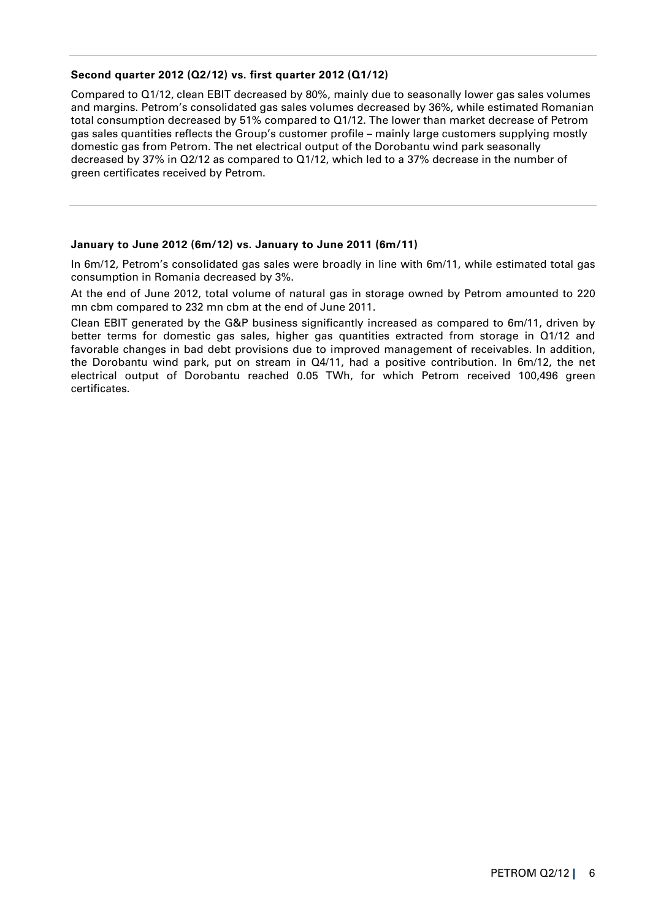## **Second quarter 2012 (Q2/12) vs. first quarter 2012 (Q1/12)**

Compared to Q1/12, clean EBIT decreased by 80%, mainly due to seasonally lower gas sales volumes and margins. Petrom's consolidated gas sales volumes decreased by 36%, while estimated Romanian total consumption decreased by 51% compared to Q1/12. The lower than market decrease of Petrom gas sales quantities reflects the Group's customer profile – mainly large customers supplying mostly domestic gas from Petrom. The net electrical output of the Dorobantu wind park seasonally decreased by 37% in Q2/12 as compared to Q1/12, which led to a 37% decrease in the number of green certificates received by Petrom.

## **January to June 2012 (6m/12) vs. January to June 2011 (6m/11)**

In 6m/12, Petrom's consolidated gas sales were broadly in line with 6m/11, while estimated total gas consumption in Romania decreased by 3%.

At the end of June 2012, total volume of natural gas in storage owned by Petrom amounted to 220 mn cbm compared to 232 mn cbm at the end of June 2011.

Clean EBIT generated by the G&P business significantly increased as compared to 6m/11, driven by better terms for domestic gas sales, higher gas quantities extracted from storage in Q1/12 and favorable changes in bad debt provisions due to improved management of receivables. In addition, the Dorobantu wind park, put on stream in Q4/11, had a positive contribution. In 6m/12, the net electrical output of Dorobantu reached 0.05 TWh, for which Petrom received 100,496 green certificates.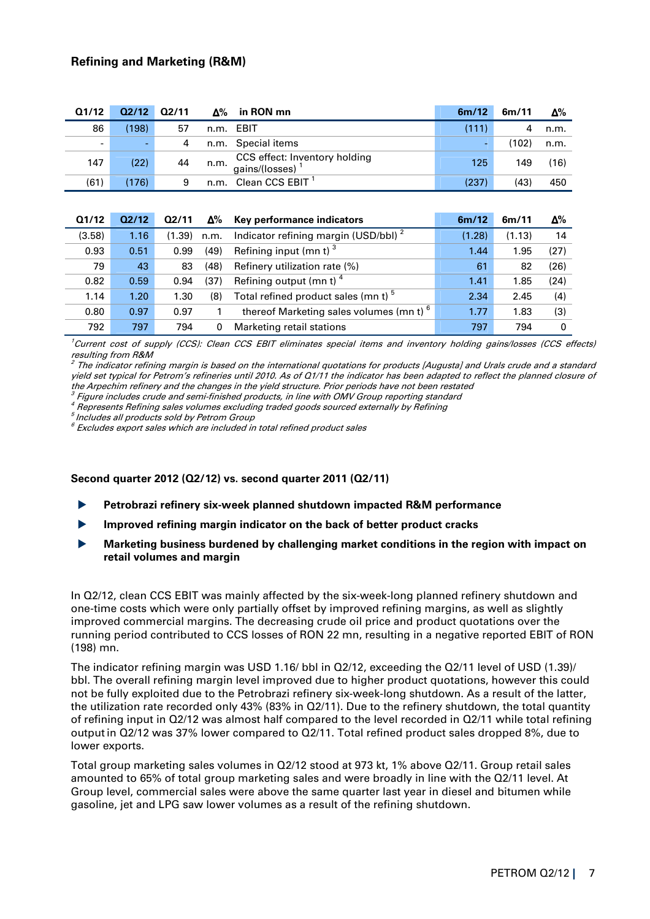| Q1/12          | Q2/12 | Q2/11 |      | $\Delta\%$ in RON mn                                         | 6m/12 | 6m/11 | $\Delta\%$ |
|----------------|-------|-------|------|--------------------------------------------------------------|-------|-------|------------|
| 86             | (198) | 57    |      | n.m. EBIT                                                    | (111) | 4     | n.m.       |
| $\blacksquare$ | ۰     |       |      | n.m. Special items                                           |       | (102) | n.m.       |
| 147            | (22)  | 44    | n.m. | CCS effect: Inventory holding<br>gains/(losses) <sup>1</sup> | 125   | 149   | (16)       |
| (61)           | (176) | 9     |      | n.m. Clean CCS EBIT <sup>1</sup>                             | (237) | (43)  | 450        |

| Q1/12  | Q2/12 | 02/11  | $\Delta\%$ | Key performance indicators                          | 6m/12  | 6m/11  | Δ%   |
|--------|-------|--------|------------|-----------------------------------------------------|--------|--------|------|
| (3.58) | 1.16  | (1.39) | n.m.       | Indicator refining margin (USD/bbl) <sup>2</sup>    | (1.28) | (1.13) | 14   |
| 0.93   | 0.51  | 0.99   | (49)       | Refining input (mn t) $3$                           | 1.44   | 1.95   | (27) |
| 79     | 43    | 83     | (48)       | Refinery utilization rate (%)                       | 61     | 82     | (26) |
| 0.82   | 0.59  | 0.94   | (37)       | Refining output (mn t) $4$                          | 1.41   | 1.85   | (24) |
| 1.14   | 1.20  | 1.30   | (8)        | Total refined product sales (mn t) <sup>5</sup>     | 2.34   | 2.45   | (4)  |
| 0.80   | 0.97  | 0.97   |            | thereof Marketing sales volumes (mn t) <sup>6</sup> | 1.77   | 1.83   | (3)  |
| 792    | 797   | 794    | 0          | Marketing retail stations                           | 797    | 794    | 0    |

 $^{\prime}$ Current cost of supply (CCS); Clean CCS EBIT eliminates special items and inventory holding gains/losses (CCS effects) resulting from R&M

 $^2$  The indicator refining margin is based on the international quotations for products [Augusta] and Urals crude and a standard yield set typical for Petrom's refineries until 2010. As of Q1/11 the indicator has been adapted to reflect the planned closure of the Arpechim refinery and the changes in the yield structure. Prior periods have not been restated

 $\,{}^{3}$  Figure includes crude and semi-finished products, in line with OMV Group reporting standard

4 Represents Refining sales volumes excluding traded goods sourced externally by Refining

 $^{\mathrm{5}}$  Includes all products sold by Petrom Group

 $^6$  Excludes export sales which are included in total refined product sales

#### **Second quarter 2012 (Q2/12) vs. second quarter 2011 (Q2/11)**

- **Petrobrazi refinery six-week planned shutdown impacted R&M performance**
- **Improved refining margin indicator on the back of better product cracks**
- **Marketing business burdened by challenging market conditions in the region with impact on retail volumes and margin**

In Q2/12, clean CCS EBIT was mainly affected by the six-week-long planned refinery shutdown and one-time costs which were only partially offset by improved refining margins, as well as slightly improved commercial margins. The decreasing crude oil price and product quotations over the running period contributed to CCS losses of RON 22 mn, resulting in a negative reported EBIT of RON (198) mn.

The indicator refining margin was USD 1.16/ bbl in Q2/12, exceeding the Q2/11 level of USD (1.39)/ bbl. The overall refining margin level improved due to higher product quotations, however this could not be fully exploited due to the Petrobrazi refinery six-week-long shutdown. As a result of the latter, the utilization rate recorded only 43% (83% in Q2/11). Due to the refinery shutdown, the total quantity of refining input in Q2/12 was almost half compared to the level recorded in Q2/11 while total refining output in Q2/12 was 37% lower compared to Q2/11. Total refined product sales dropped 8%, due to lower exports.

Total group marketing sales volumes in Q2/12 stood at 973 kt, 1% above Q2/11. Group retail sales amounted to 65% of total group marketing sales and were broadly in line with the Q2/11 level. At Group level, commercial sales were above the same quarter last year in diesel and bitumen while gasoline, jet and LPG saw lower volumes as a result of the refining shutdown.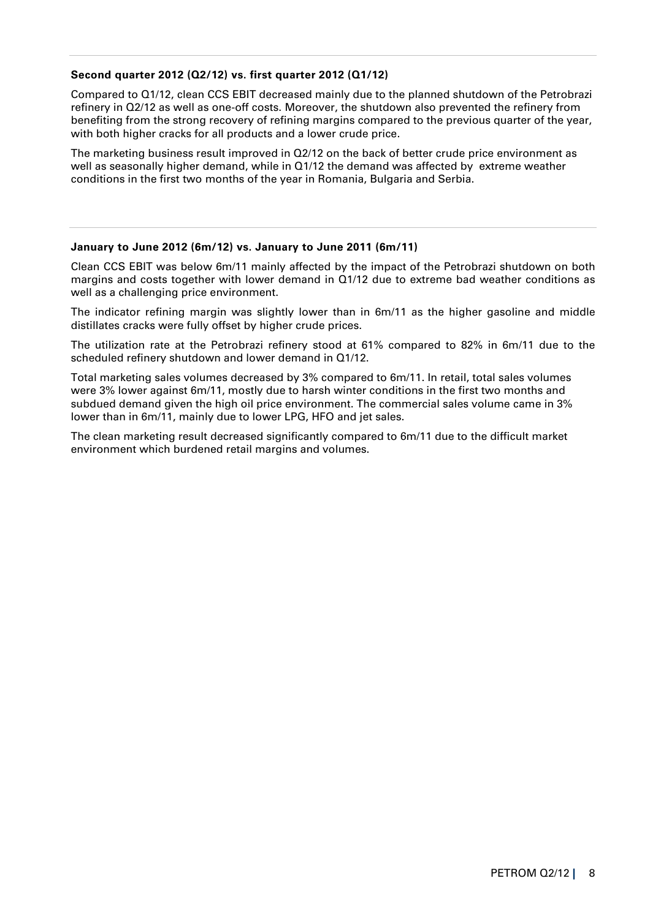## **Second quarter 2012 (Q2/12) vs. first quarter 2012 (Q1/12)**

Compared to Q1/12, clean CCS EBIT decreased mainly due to the planned shutdown of the Petrobrazi refinery in Q2/12 as well as one-off costs. Moreover, the shutdown also prevented the refinery from benefiting from the strong recovery of refining margins compared to the previous quarter of the year, with both higher cracks for all products and a lower crude price.

The marketing business result improved in Q2/12 on the back of better crude price environment as well as seasonally higher demand, while in Q1/12 the demand was affected by extreme weather conditions in the first two months of the year in Romania, Bulgaria and Serbia.

#### **January to June 2012 (6m/12) vs. January to June 2011 (6m/11)**

Clean CCS EBIT was below 6m/11 mainly affected by the impact of the Petrobrazi shutdown on both margins and costs together with lower demand in Q1/12 due to extreme bad weather conditions as well as a challenging price environment.

The indicator refining margin was slightly lower than in 6m/11 as the higher gasoline and middle distillates cracks were fully offset by higher crude prices.

The utilization rate at the Petrobrazi refinery stood at 61% compared to 82% in 6m/11 due to the scheduled refinery shutdown and lower demand in Q1/12.

Total marketing sales volumes decreased by 3% compared to 6m/11. In retail, total sales volumes were 3% lower against 6m/11, mostly due to harsh winter conditions in the first two months and subdued demand given the high oil price environment. The commercial sales volume came in 3% lower than in 6m/11, mainly due to lower LPG, HFO and jet sales.

The clean marketing result decreased significantly compared to 6m/11 due to the difficult market environment which burdened retail margins and volumes.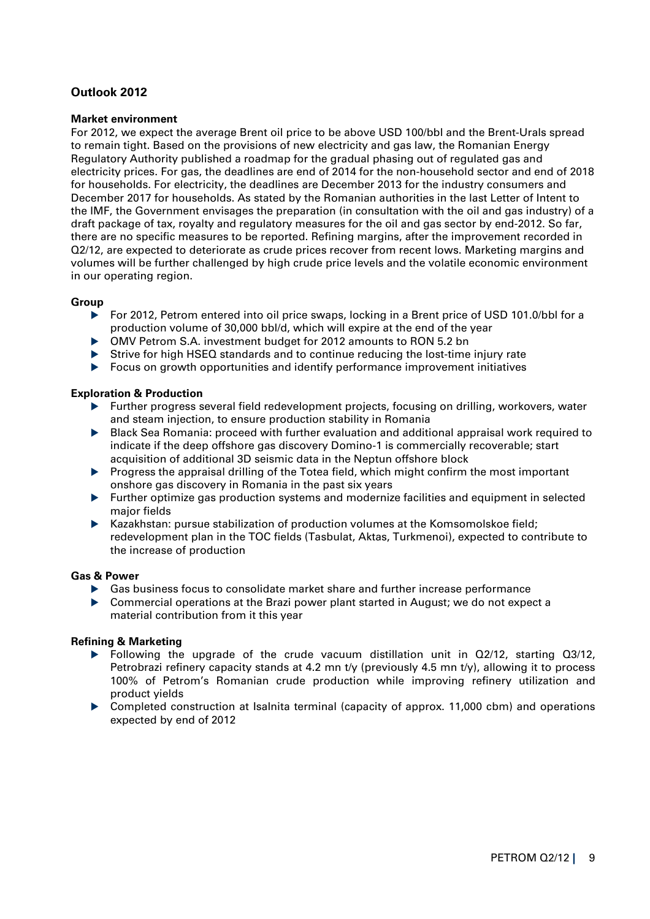## **Outlook 2012**

### **Market environment**

For 2012, we expect the average Brent oil price to be above USD 100/bbl and the Brent-Urals spread to remain tight. Based on the provisions of new electricity and gas law, the Romanian Energy Regulatory Authority published a roadmap for the gradual phasing out of regulated gas and electricity prices. For gas, the deadlines are end of 2014 for the non-household sector and end of 2018 for households. For electricity, the deadlines are December 2013 for the industry consumers and December 2017 for households. As stated by the Romanian authorities in the last Letter of Intent to the IMF, the Government envisages the preparation (in consultation with the oil and gas industry) of a draft package of tax, royalty and regulatory measures for the oil and gas sector by end-2012. So far, there are no specific measures to be reported. Refining margins, after the improvement recorded in Q2/12, are expected to deteriorate as crude prices recover from recent lows. Marketing margins and volumes will be further challenged by high crude price levels and the volatile economic environment in our operating region.

## **Group**

- For 2012, Petrom entered into oil price swaps, locking in a Brent price of USD 101.0/bbl for a production volume of 30,000 bbl/d, which will expire at the end of the year
- OMV Petrom S.A. investment budget for 2012 amounts to RON 5.2 bn
- Strive for high HSEQ standards and to continue reducing the lost-time injury rate
- Focus on growth opportunities and identify performance improvement initiatives

#### **Exploration & Production**

- Further progress several field redevelopment projects, focusing on drilling, workovers, water and steam injection, to ensure production stability in Romania
- Black Sea Romania: proceed with further evaluation and additional appraisal work required to indicate if the deep offshore gas discovery Domino-1 is commercially recoverable; start acquisition of additional 3D seismic data in the Neptun offshore block
- Progress the appraisal drilling of the Totea field, which might confirm the most important onshore gas discovery in Romania in the past six years
- Further optimize gas production systems and modernize facilities and equipment in selected major fields
- $\blacktriangleright$  Kazakhstan: pursue stabilization of production volumes at the Komsomolskoe field; redevelopment plan in the TOC fields (Tasbulat, Aktas, Turkmenoi), expected to contribute to the increase of production

#### **Gas & Power**

- Gas business focus to consolidate market share and further increase performance
- Commercial operations at the Brazi power plant started in August; we do not expect a material contribution from it this year

## **Refining & Marketing**

- Following the upgrade of the crude vacuum distillation unit in  $Q2/12$ , starting  $Q3/12$ , Petrobrazi refinery capacity stands at 4.2 mn t/y (previously 4.5 mn t/y), allowing it to process 100% of Petrom's Romanian crude production while improving refinery utilization and product yields
- Completed construction at Isalnita terminal (capacity of approx. 11,000 cbm) and operations expected by end of 2012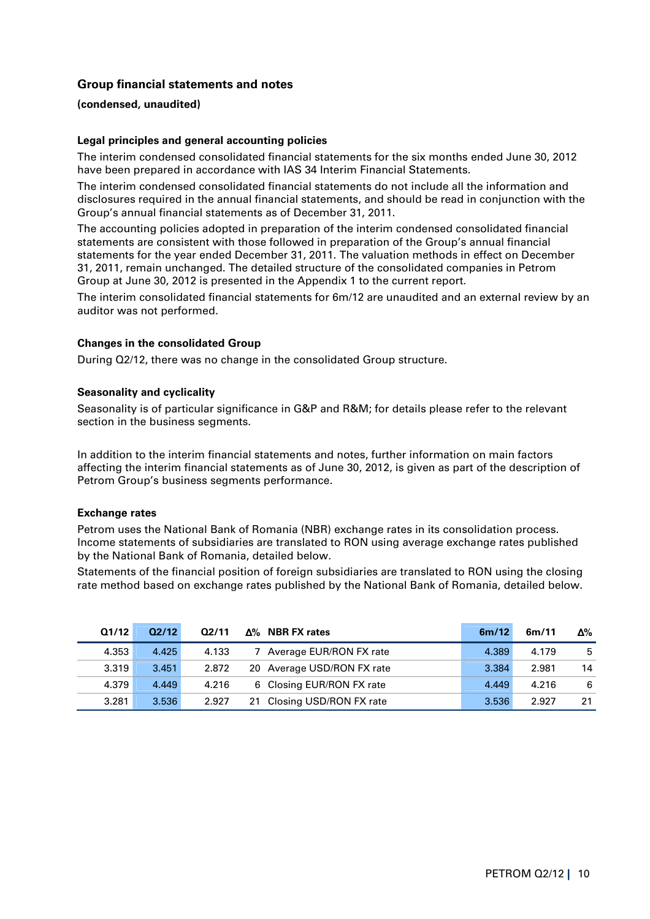## **Group financial statements and notes**

#### **(condensed, unaudited)**

#### **Legal principles and general accounting policies**

The interim condensed consolidated financial statements for the six months ended June 30, 2012 have been prepared in accordance with IAS 34 Interim Financial Statements.

The interim condensed consolidated financial statements do not include all the information and disclosures required in the annual financial statements, and should be read in conjunction with the Group's annual financial statements as of December 31, 2011.

The accounting policies adopted in preparation of the interim condensed consolidated financial statements are consistent with those followed in preparation of the Group's annual financial statements for the year ended December 31, 2011. The valuation methods in effect on December 31, 2011, remain unchanged. The detailed structure of the consolidated companies in Petrom Group at June 30, 2012 is presented in the Appendix 1 to the current report.

The interim consolidated financial statements for 6m/12 are unaudited and an external review by an auditor was not performed.

#### **Changes in the consolidated Group**

During Q2/12, there was no change in the consolidated Group structure.

#### **Seasonality and cyclicality**

Seasonality is of particular significance in G&P and R&M; for details please refer to the relevant section in the business segments.

In addition to the interim financial statements and notes, further information on main factors affecting the interim financial statements as of June 30, 2012, is given as part of the description of Petrom Group's business segments performance.

#### **Exchange rates**

Petrom uses the National Bank of Romania (NBR) exchange rates in its consolidation process. Income statements of subsidiaries are translated to RON using average exchange rates published by the National Bank of Romania, detailed below.

Statements of the financial position of foreign subsidiaries are translated to RON using the closing rate method based on exchange rates published by the National Bank of Romania, detailed below.

| Q1/12 | Q2/12 | Q2/11 | $\Delta\%$ NBR FX rates    | 6m/12 | 6m/11 | Δ% |
|-------|-------|-------|----------------------------|-------|-------|----|
| 4.353 | 4.425 | 4.133 | Average EUR/RON FX rate    | 4.389 | 4.179 | -5 |
| 3.319 | 3.451 | 2.872 | 20 Average USD/RON FX rate | 3.384 | 2.981 | 14 |
| 4.379 | 4.449 | 4.216 | 6 Closing EUR/RON FX rate  | 4.449 | 4.216 | -6 |
| 3.281 | 3.536 | 2.927 | 21 Closing USD/RON FX rate | 3.536 | 2.927 | 21 |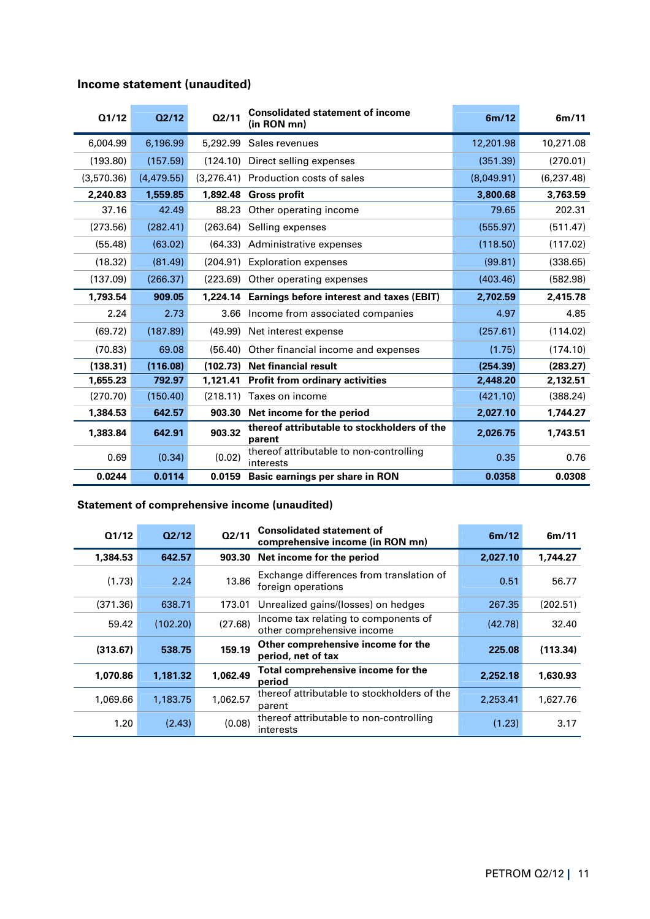|  |  | Income statement (unaudited) |
|--|--|------------------------------|
|--|--|------------------------------|

| Q1/12      | Q2/12      | Q2/11    | <b>Consolidated statement of income</b><br>(in RON mn) | 6m/12      | 6m/11       |
|------------|------------|----------|--------------------------------------------------------|------------|-------------|
| 6,004.99   | 6,196.99   | 5,292.99 | Sales revenues                                         | 12,201.98  | 10,271.08   |
| (193.80)   | (157.59)   | (124.10) | Direct selling expenses                                | (351.39)   | (270.01)    |
| (3,570.36) | (4,479.55) |          | (3.276.41) Production costs of sales                   | (8.049.91) | (6, 237.48) |
| 2,240.83   | 1,559.85   |          | 1,892.48 Gross profit                                  | 3,800.68   | 3,763.59    |
| 37.16      | 42.49      |          | 88.23 Other operating income                           | 79.65      | 202.31      |
| (273.56)   | (282.41)   | (263.64) | Selling expenses                                       | (555.97)   | (511.47)    |
| (55.48)    | (63.02)    | (64.33)  | Administrative expenses                                | (118.50)   | (117.02)    |
| (18.32)    | (81.49)    | (204.91) | <b>Exploration expenses</b>                            | (99.81)    | (338.65)    |
| (137.09)   | (266.37)   | (223.69) | Other operating expenses                               | (403.46)   | (582.98)    |
| 1,793.54   | 909.05     |          | 1,224.14 Earnings before interest and taxes (EBIT)     | 2,702.59   | 2,415.78    |
| 2.24       | 2.73       | 3.66     | Income from associated companies                       | 4.97       | 4.85        |
| (69.72)    | (187.89)   |          | (49.99) Net interest expense                           | (257.61)   | (114.02)    |
| (70.83)    | 69.08      | (56.40)  | Other financial income and expenses                    | (1.75)     | (174.10)    |
| (138.31)   | (116.08)   | (102.73) | <b>Net financial result</b>                            | (254.39)   | (283.27)    |
| 1,655.23   | 792.97     | 1,121.41 | <b>Profit from ordinary activities</b>                 | 2,448.20   | 2,132.51    |
| (270.70)   | (150.40)   | (218.11) | Taxes on income                                        | (421.10)   | (388.24)    |
| 1,384.53   | 642.57     |          | 903.30 Net income for the period                       | 2,027.10   | 1,744.27    |
| 1,383.84   | 642.91     | 903.32   | thereof attributable to stockholders of the<br>parent  | 2,026.75   | 1,743.51    |
| 0.69       | (0.34)     | (0.02)   | thereof attributable to non-controlling<br>interests   | 0.35       | 0.76        |
| 0.0244     | 0.0114     | 0.0159   | Basic earnings per share in RON                        | 0.0358     | 0.0308      |

## **Statement of comprehensive income (unaudited)**

| Q1/12    | Q2/12    | Q2/11    | <b>Consolidated statement of</b><br>comprehensive income (in RON mn) | 6m/12    | 6m/11    |
|----------|----------|----------|----------------------------------------------------------------------|----------|----------|
| 1,384.53 | 642.57   | 903.30   | Net income for the period                                            | 2,027.10 | 1,744.27 |
| (1.73)   | 2.24     | 13.86    | Exchange differences from translation of<br>foreign operations       | 0.51     | 56.77    |
| (371.36) | 638.71   | 173.01   | Unrealized gains/(losses) on hedges                                  | 267.35   | (202.51) |
| 59.42    | (102.20) | (27.68)  | Income tax relating to components of<br>other comprehensive income   | (42.78)  | 32.40    |
| (313.67) | 538.75   | 159.19   | Other comprehensive income for the<br>period, net of tax             | 225.08   | (113.34) |
| 1,070.86 | 1,181.32 | 1,062.49 | Total comprehensive income for the<br>period                         | 2,252.18 | 1,630.93 |
| 1,069.66 | 1,183.75 | 1,062.57 | thereof attributable to stockholders of the<br>parent                | 2,253.41 | 1,627.76 |
| 1.20     | (2.43)   | (0.08)   | thereof attributable to non-controlling<br>interests                 | (1.23)   | 3.17     |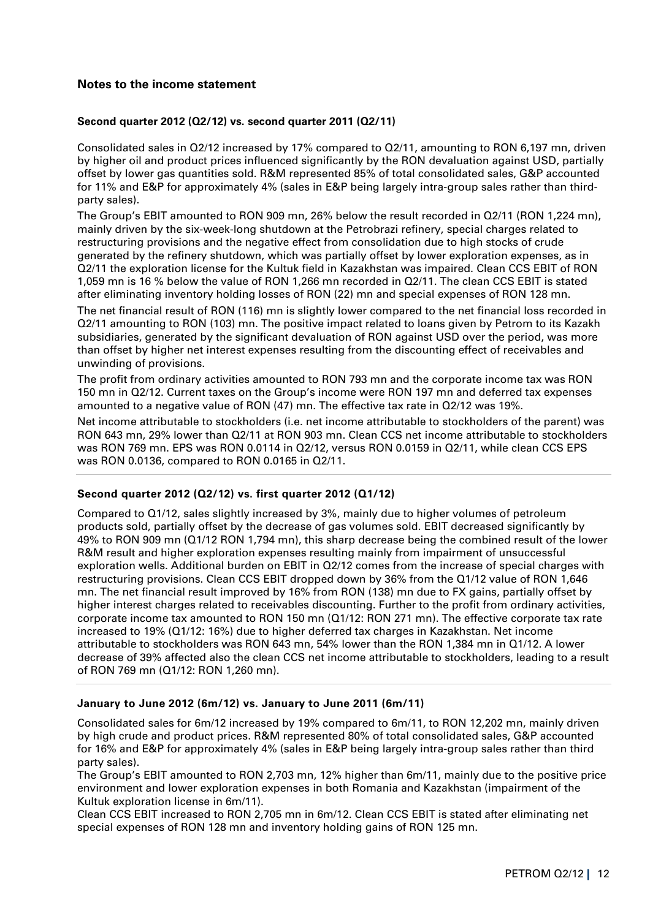## **Notes to the income statement**

#### **Second quarter 2012 (Q2/12) vs. second quarter 2011 (Q2/11)**

Consolidated sales in Q2/12 increased by 17% compared to Q2/11, amounting to RON 6,197 mn, driven by higher oil and product prices influenced significantly by the RON devaluation against USD, partially offset by lower gas quantities sold. R&M represented 85% of total consolidated sales, G&P accounted for 11% and E&P for approximately 4% (sales in E&P being largely intra-group sales rather than thirdparty sales).

The Group's EBIT amounted to RON 909 mn, 26% below the result recorded in Q2/11 (RON 1,224 mn), mainly driven by the six-week-long shutdown at the Petrobrazi refinery, special charges related to restructuring provisions and the negative effect from consolidation due to high stocks of crude generated by the refinery shutdown, which was partially offset by lower exploration expenses, as in Q2/11 the exploration license for the Kultuk field in Kazakhstan was impaired. Clean CCS EBIT of RON 1,059 mn is 16 % below the value of RON 1,266 mn recorded in Q2/11. The clean CCS EBIT is stated after eliminating inventory holding losses of RON (22) mn and special expenses of RON 128 mn.

The net financial result of RON (116) mn is slightly lower compared to the net financial loss recorded in Q2/11 amounting to RON (103) mn. The positive impact related to loans given by Petrom to its Kazakh subsidiaries, generated by the significant devaluation of RON against USD over the period, was more than offset by higher net interest expenses resulting from the discounting effect of receivables and unwinding of provisions.

The profit from ordinary activities amounted to RON 793 mn and the corporate income tax was RON 150 mn in Q2/12. Current taxes on the Group's income were RON 197 mn and deferred tax expenses amounted to a negative value of RON (47) mn. The effective tax rate in Q2/12 was 19%.

Net income attributable to stockholders (i.e. net income attributable to stockholders of the parent) was RON 643 mn, 29% lower than Q2/11 at RON 903 mn. Clean CCS net income attributable to stockholders was RON 769 mn. EPS was RON 0.0114 in Q2/12, versus RON 0.0159 in Q2/11, while clean CCS EPS was RON 0.0136, compared to RON 0.0165 in Q2/11.

## **Second quarter 2012 (Q2/12) vs. first quarter 2012 (Q1/12)**

Compared to Q1/12, sales slightly increased by 3%, mainly due to higher volumes of petroleum products sold, partially offset by the decrease of gas volumes sold. EBIT decreased significantly by 49% to RON 909 mn (Q1/12 RON 1,794 mn), this sharp decrease being the combined result of the lower R&M result and higher exploration expenses resulting mainly from impairment of unsuccessful exploration wells. Additional burden on EBIT in Q2/12 comes from the increase of special charges with restructuring provisions. Clean CCS EBIT dropped down by 36% from the Q1/12 value of RON 1,646 mn. The net financial result improved by 16% from RON (138) mn due to FX gains, partially offset by higher interest charges related to receivables discounting. Further to the profit from ordinary activities, corporate income tax amounted to RON 150 mn (Q1/12: RON 271 mn). The effective corporate tax rate increased to 19% (Q1/12: 16%) due to higher deferred tax charges in Kazakhstan. Net income attributable to stockholders was RON 643 mn, 54% lower than the RON 1,384 mn in Q1/12. A lower decrease of 39% affected also the clean CCS net income attributable to stockholders, leading to a result of RON 769 mn (Q1/12: RON 1,260 mn).

#### **January to June 2012 (6m/12) vs. January to June 2011 (6m/11)**

Consolidated sales for 6m/12 increased by 19% compared to 6m/11, to RON 12,202 mn, mainly driven by high crude and product prices. R&M represented 80% of total consolidated sales, G&P accounted for 16% and E&P for approximately 4% (sales in E&P being largely intra-group sales rather than third party sales).

The Group's EBIT amounted to RON 2,703 mn, 12% higher than 6m/11, mainly due to the positive price environment and lower exploration expenses in both Romania and Kazakhstan (impairment of the Kultuk exploration license in 6m/11).

Clean CCS EBIT increased to RON 2,705 mn in 6m/12. Clean CCS EBIT is stated after eliminating net special expenses of RON 128 mn and inventory holding gains of RON 125 mn.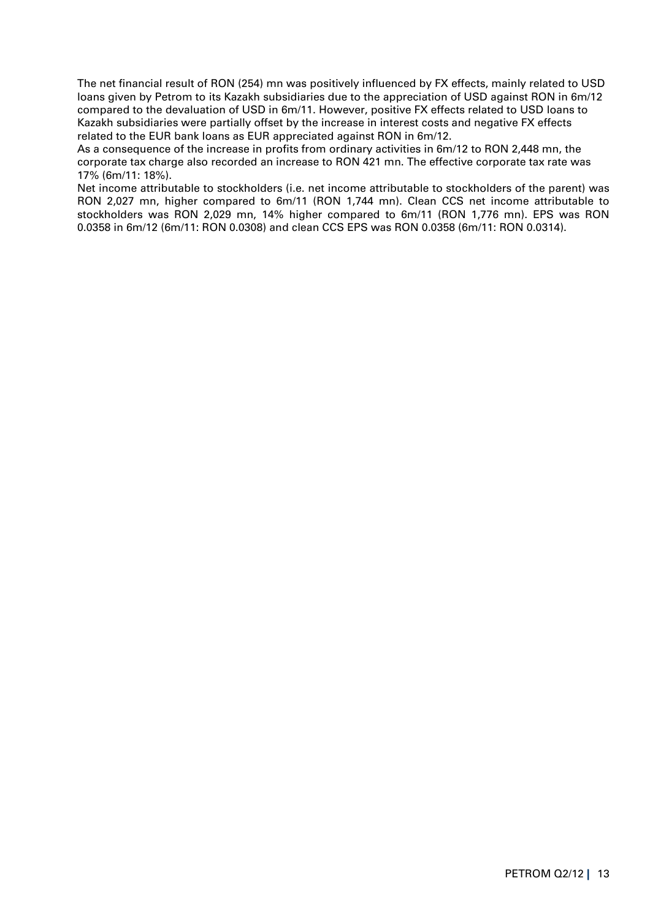The net financial result of RON (254) mn was positively influenced by FX effects, mainly related to USD loans given by Petrom to its Kazakh subsidiaries due to the appreciation of USD against RON in 6m/12 compared to the devaluation of USD in 6m/11. However, positive FX effects related to USD loans to Kazakh subsidiaries were partially offset by the increase in interest costs and negative FX effects related to the EUR bank loans as EUR appreciated against RON in 6m/12.

As a consequence of the increase in profits from ordinary activities in 6m/12 to RON 2,448 mn, the corporate tax charge also recorded an increase to RON 421 mn. The effective corporate tax rate was 17% (6m/11: 18%).

Net income attributable to stockholders (i.e. net income attributable to stockholders of the parent) was RON 2,027 mn, higher compared to 6m/11 (RON 1,744 mn). Clean CCS net income attributable to stockholders was RON 2,029 mn, 14% higher compared to 6m/11 (RON 1,776 mn). EPS was RON 0.0358 in 6m/12 (6m/11: RON 0.0308) and clean CCS EPS was RON 0.0358 (6m/11: RON 0.0314).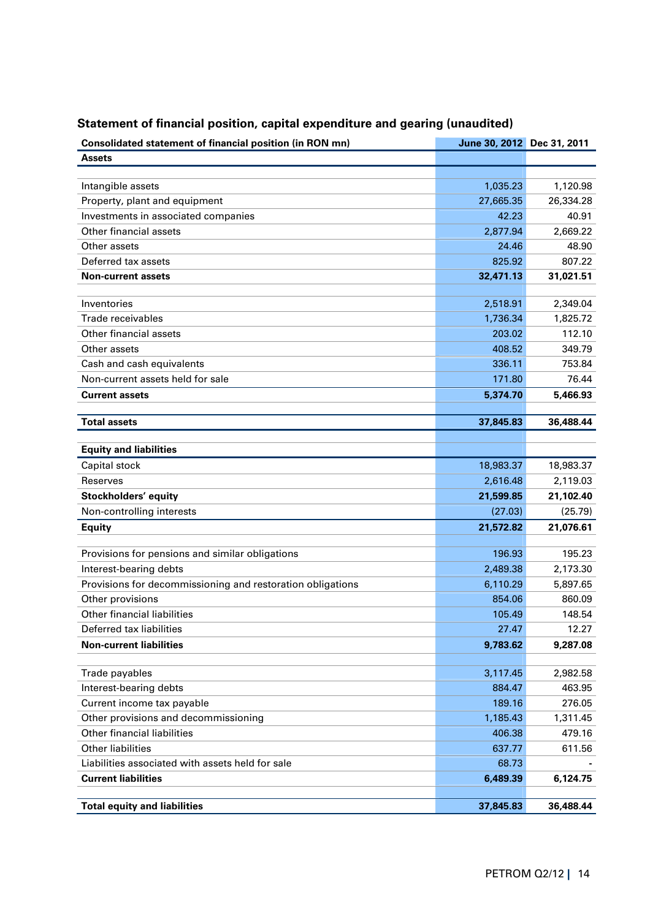| <b>Consolidated statement of financial position (in RON mn)</b>                | June 30, 2012 Dec 31, 2011 |                    |
|--------------------------------------------------------------------------------|----------------------------|--------------------|
| <b>Assets</b>                                                                  |                            |                    |
|                                                                                |                            |                    |
| Intangible assets                                                              | 1,035.23                   | 1,120.98           |
| Property, plant and equipment                                                  | 27,665.35                  | 26,334.28          |
| Investments in associated companies                                            | 42.23                      | 40.91              |
| Other financial assets                                                         | 2,877.94                   | 2,669.22           |
| Other assets                                                                   | 24.46                      | 48.90              |
| Deferred tax assets                                                            | 825.92                     | 807.22             |
| <b>Non-current assets</b>                                                      | 32,471.13                  | 31,021.51          |
|                                                                                |                            |                    |
| Inventories                                                                    | 2,518.91                   | 2,349.04           |
| Trade receivables                                                              | 1,736.34                   | 1,825.72           |
| Other financial assets                                                         | 203.02                     | 112.10             |
| Other assets                                                                   | 408.52                     | 349.79             |
| Cash and cash equivalents                                                      | 336.11                     | 753.84             |
| Non-current assets held for sale                                               | 171.80                     | 76.44              |
| <b>Current assets</b>                                                          | 5,374.70                   | 5,466.93           |
|                                                                                |                            |                    |
| <b>Total assets</b>                                                            | 37,845.83                  | 36,488.44          |
|                                                                                |                            |                    |
| <b>Equity and liabilities</b>                                                  |                            |                    |
| Capital stock                                                                  | 18,983.37                  | 18,983.37          |
| Reserves                                                                       | 2,616.48                   | 2,119.03           |
| Stockholders' equity                                                           | 21,599.85                  | 21,102.40          |
| Non-controlling interests                                                      | (27.03)                    | (25.79)            |
| <b>Equity</b>                                                                  | 21,572.82                  | 21,076.61          |
|                                                                                | 196.93                     | 195.23             |
| Provisions for pensions and similar obligations<br>Interest-bearing debts      | 2,489.38                   |                    |
|                                                                                |                            | 2,173.30           |
| Provisions for decommissioning and restoration obligations<br>Other provisions | 6,110.29                   | 5,897.65           |
|                                                                                | 854.06                     | 860.09             |
| <b>Other financial liabilities</b>                                             | 105.49                     | 148.54             |
| Deferred tax liabilities                                                       | 27.47                      | 12.27              |
| <b>Non-current liabilities</b>                                                 | 9,783.62                   | 9,287.08           |
| Trade payables                                                                 |                            |                    |
| Interest-bearing debts                                                         | 3,117.45<br>884.47         | 2,982.58<br>463.95 |
|                                                                                |                            |                    |
| Current income tax payable<br>Other provisions and decommissioning             | 189.16                     | 276.05             |
| Other financial liabilities                                                    | 1,185.43                   | 1,311.45           |
| <b>Other liabilities</b>                                                       | 406.38                     | 479.16             |
|                                                                                | 637.77                     | 611.56             |
| Liabilities associated with assets held for sale                               | 68.73                      |                    |
| <b>Current liabilities</b>                                                     | 6,489.39                   | 6,124.75           |
| <b>Total equity and liabilities</b>                                            | 37,845.83                  | 36,488.44          |
|                                                                                |                            |                    |

# **Statement of financial position, capital expenditure and gearing (unaudited)**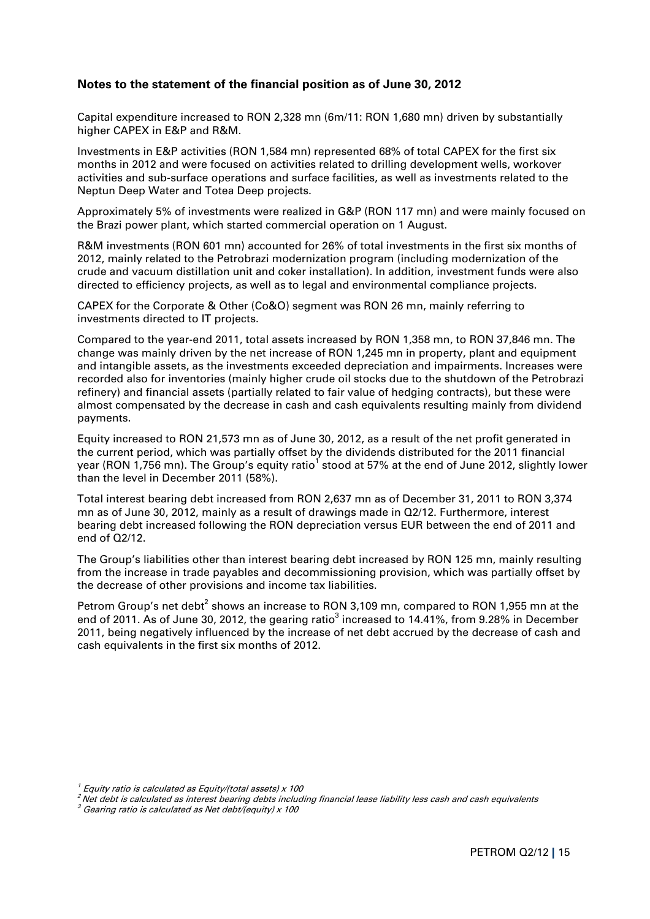## **Notes to the statement of the financial position as of June 30, 2012**

Capital expenditure increased to RON 2,328 mn (6m/11: RON 1,680 mn) driven by substantially higher CAPEX in E&P and R&M.

Investments in E&P activities (RON 1,584 mn) represented 68% of total CAPEX for the first six months in 2012 and were focused on activities related to drilling development wells, workover activities and sub-surface operations and surface facilities, as well as investments related to the Neptun Deep Water and Totea Deep projects.

Approximately 5% of investments were realized in G&P (RON 117 mn) and were mainly focused on the Brazi power plant, which started commercial operation on 1 August.

R&M investments (RON 601 mn) accounted for 26% of total investments in the first six months of 2012, mainly related to the Petrobrazi modernization program (including modernization of the crude and vacuum distillation unit and coker installation). In addition, investment funds were also directed to efficiency projects, as well as to legal and environmental compliance projects.

CAPEX for the Corporate & Other (Co&O) segment was RON 26 mn, mainly referring to investments directed to IT projects.

Compared to the year-end 2011, total assets increased by RON 1,358 mn, to RON 37,846 mn. The change was mainly driven by the net increase of RON 1,245 mn in property, plant and equipment and intangible assets, as the investments exceeded depreciation and impairments. Increases were recorded also for inventories (mainly higher crude oil stocks due to the shutdown of the Petrobrazi refinery) and financial assets (partially related to fair value of hedging contracts), but these were almost compensated by the decrease in cash and cash equivalents resulting mainly from dividend payments.

Equity increased to RON 21,573 mn as of June 30, 2012, as a result of the net profit generated in the current period, which was partially offset by the dividends distributed for the 2011 financial year (RON 1,756 mn). The Group's equity ratio $^{\rm 1}$  stood at 57% at the end of June 2012, slightly lower than the level in December 2011 (58%).

Total interest bearing debt increased from RON 2,637 mn as of December 31, 2011 to RON 3,374 mn as of June 30, 2012, mainly as a result of drawings made in Q2/12. Furthermore, interest bearing debt increased following the RON depreciation versus EUR between the end of 2011 and end of Q2/12.

The Group's liabilities other than interest bearing debt increased by RON 125 mn, mainly resulting from the increase in trade payables and decommissioning provision, which was partially offset by the decrease of other provisions and income tax liabilities.

Petrom Group's net debt<sup>2</sup> shows an increase to RON 3,109 mn, compared to RON 1,955 mn at the end of 2011. As of June 30, 2012, the gearing ratio<sup>3</sup> increased to 14.41%, from 9.28% in December 2011, being negatively influenced by the increase of net debt accrued by the decrease of cash and cash equivalents in the first six months of 2012.

 $^{\prime}$  Equity ratio is calculated as Equity/(total assets) x 100  $^{\prime}$ 

<sup>2</sup>Net debt is calculated as interest bearing debts including financial lease liability less cash and cash equivalents

 $^{\text{\textit{3}}}$  Gearing ratio is calculated as Net debt/(equity) x 100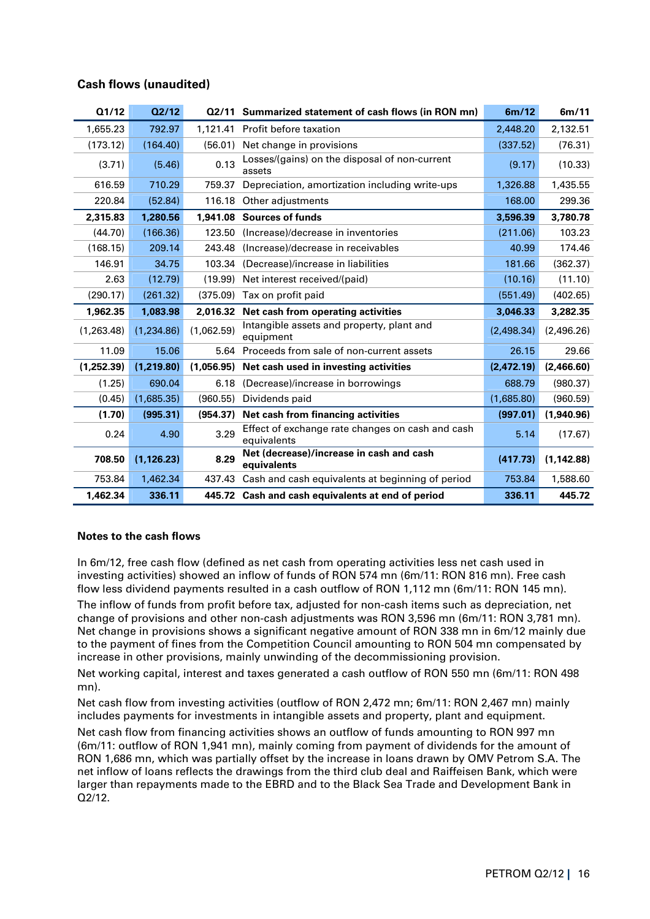|  | <b>Cash flows (unaudited)</b> |
|--|-------------------------------|
|  |                               |

| Q1/12      | Q2/12       |            | 02/11 Summarized statement of cash flows (in RON mn)            | 6m/12      | 6m/11       |
|------------|-------------|------------|-----------------------------------------------------------------|------------|-------------|
| 1,655.23   | 792.97      |            | 1,121.41 Profit before taxation                                 | 2,448.20   | 2,132.51    |
| (173.12)   | (164.40)    | (56.01)    | Net change in provisions                                        | (337.52)   | (76.31)     |
| (3.71)     | (5.46)      | 0.13       | Losses/(gains) on the disposal of non-current<br>assets         | (9.17)     | (10.33)     |
| 616.59     | 710.29      | 759.37     | Depreciation, amortization including write-ups                  | 1,326.88   | 1,435.55    |
| 220.84     | (52.84)     | 116.18     | Other adjustments                                               | 168.00     | 299.36      |
| 2,315.83   | 1,280.56    | 1,941.08   | <b>Sources of funds</b>                                         | 3,596.39   | 3,780.78    |
| (44.70)    | (166.36)    | 123.50     | (Increase)/decrease in inventories                              | (211.06)   | 103.23      |
| (168.15)   | 209.14      | 243.48     | (Increase)/decrease in receivables                              | 40.99      | 174.46      |
| 146.91     | 34.75       | 103.34     | (Decrease)/increase in liabilities                              | 181.66     | (362.37)    |
| 2.63       | (12.79)     | (19.99)    | Net interest received/(paid)                                    | (10.16)    | (11.10)     |
| (290.17)   | (261.32)    | (375.09)   | Tax on profit paid                                              | (551.49)   | (402.65)    |
|            |             |            |                                                                 |            |             |
| 1,962.35   | 1.083.98    | 2,016.32   | Net cash from operating activities                              | 3,046.33   | 3,282.35    |
| (1,263.48) | (1,234.86)  | (1,062.59) | Intangible assets and property, plant and<br>equipment          | (2,498.34) | (2,496.26)  |
| 11.09      | 15.06       | 5.64       | Proceeds from sale of non-current assets                        | 26.15      | 29.66       |
| (1,252.39) | (1,219.80)  | (1,056.95) | Net cash used in investing activities                           | (2,472.19) | (2,466.60)  |
| (1.25)     | 690.04      | 6.18       | (Decrease)/increase in borrowings                               | 688.79     | (980.37)    |
| (0.45)     | (1,685.35)  | (960.55)   | Dividends paid                                                  | (1,685.80) | (960.59)    |
| (1.70)     | (995.31)    | (954.37)   | Net cash from financing activities                              | (997.01)   | (1,940.96)  |
| 0.24       | 4.90        | 3.29       | Effect of exchange rate changes on cash and cash<br>equivalents | 5.14       | (17.67)     |
| 708.50     | (1, 126.23) | 8.29       | Net (decrease)/increase in cash and cash<br>equivalents         | (417.73)   | (1, 142.88) |
| 753.84     | 1,462.34    | 437.43     | Cash and cash equivalents at beginning of period                | 753.84     | 1,588.60    |

#### **Notes to the cash flows**

In 6m/12, free cash flow (defined as net cash from operating activities less net cash used in investing activities) showed an inflow of funds of RON 574 mn (6m/11: RON 816 mn). Free cash flow less dividend payments resulted in a cash outflow of RON 1,112 mn (6m/11: RON 145 mn).

The inflow of funds from profit before tax, adjusted for non-cash items such as depreciation, net change of provisions and other non-cash adjustments was RON 3,596 mn (6m/11: RON 3,781 mn). Net change in provisions shows a significant negative amount of RON 338 mn in 6m/12 mainly due to the payment of fines from the Competition Council amounting to RON 504 mn compensated by increase in other provisions, mainly unwinding of the decommissioning provision.

Net working capital, interest and taxes generated a cash outflow of RON 550 mn (6m/11: RON 498 mn).

Net cash flow from investing activities (outflow of RON 2,472 mn; 6m/11: RON 2,467 mn) mainly includes payments for investments in intangible assets and property, plant and equipment.

Net cash flow from financing activities shows an outflow of funds amounting to RON 997 mn (6m/11: outflow of RON 1,941 mn), mainly coming from payment of dividends for the amount of RON 1,686 mn, which was partially offset by the increase in loans drawn by OMV Petrom S.A. The net inflow of loans reflects the drawings from the third club deal and Raiffeisen Bank, which were larger than repayments made to the EBRD and to the Black Sea Trade and Development Bank in  $02/12.$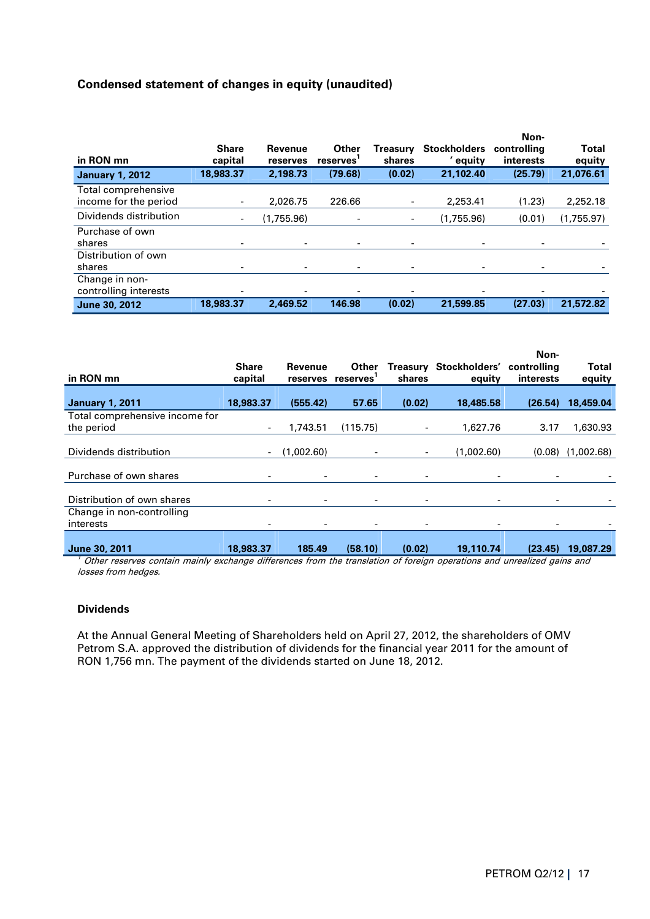## **Condensed statement of changes in equity (unaudited)**

| in RON mn                                    | <b>Share</b><br>capital | Revenue<br>reserves | Other<br>reserves | Treasurv<br>shares       | <b>Stockholders</b><br>' equity | Non-<br>controlling<br>interests | <b>Total</b><br>equity |
|----------------------------------------------|-------------------------|---------------------|-------------------|--------------------------|---------------------------------|----------------------------------|------------------------|
| <b>January 1, 2012</b>                       | 18,983.37               | 2,198.73            | (79.68)           | (0.02)                   | 21.102.40                       | (25.79)                          | 21,076.61              |
| Total comprehensive<br>income for the period | ۰.                      | 2.026.75            | 226.66            | -                        | 2.253.41                        | (1.23)                           | 2,252.18               |
| Dividends distribution                       |                         | (1,755.96)          |                   | $\overline{\phantom{a}}$ | (1,755.96)                      | (0.01)                           | (1,755.97)             |
| Purchase of own<br>shares                    |                         | ٠                   |                   | -                        |                                 |                                  |                        |
| Distribution of own                          |                         |                     |                   |                          |                                 |                                  |                        |
| shares                                       |                         | ٠                   |                   | -                        |                                 | $\overline{\phantom{0}}$         |                        |
| Change in non-<br>controlling interests      |                         |                     |                   |                          |                                 |                                  |                        |
| June 30, 2012                                | 18,983.37               | 2,469.52            | 146.98            | (0.02)                   | 21,599.85                       | (27.03)                          | 21,572.82              |

| in RON mn                                    | <b>Share</b><br>capital  | Revenue<br>reserves      | Other<br>reserves        | Treasurv<br>shares           | Stockholders'<br>equity | Non-<br>controlling<br><b>interests</b> | <b>Total</b><br>equity |
|----------------------------------------------|--------------------------|--------------------------|--------------------------|------------------------------|-------------------------|-----------------------------------------|------------------------|
| <b>January 1, 2011</b>                       | 18,983.37                | (555.42)                 | 57.65                    | (0.02)                       | 18,485.58               | (26.54)                                 | 18,459.04              |
| Total comprehensive income for<br>the period | $\overline{\phantom{0}}$ | 1.743.51                 | (115.75)                 |                              | 1.627.76                | 3.17                                    | 1,630.93               |
| Dividends distribution                       |                          | (1,002.60)               | $\overline{\phantom{a}}$ | -                            | (1,002.60)              | (0.08)                                  | (1,002.68)             |
| Purchase of own shares                       |                          | $\overline{\phantom{a}}$ | ٠                        | $\qquad \qquad \blacksquare$ |                         |                                         |                        |
| Distribution of own shares                   |                          | ۰.                       | -                        | -                            | -                       |                                         |                        |
| Change in non-controlling<br>interests       |                          | ۰.                       | $\overline{\phantom{a}}$ |                              |                         |                                         |                        |
| June 30, 2011                                | 18,983.37                | 185.49                   | (58.10)                  | (0.02)                       | 19,110.74               | (23.45)                                 | 19,087.29              |

 $^{\prime}$  Other reserves contain mainly exchange differences from the translation of foreign operations and unrealized gains and losses from hedges.

#### **Dividends**

At the Annual General Meeting of Shareholders held on April 27, 2012, the shareholders of OMV Petrom S.A. approved the distribution of dividends for the financial year 2011 for the amount of RON 1,756 mn. The payment of the dividends started on June 18, 2012.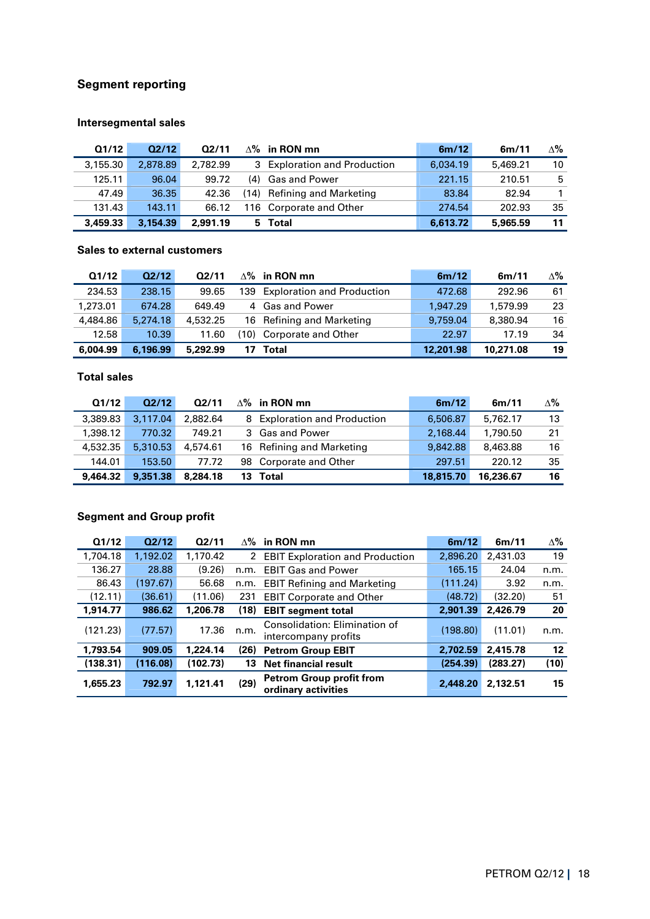## **Segment reporting**

## **Intersegmental sales**

| Q1/12    | Q2/12    | Q2/11    | $\Delta\%$ in RON mn         | 6m/12    | 6m/11    | Δ% |
|----------|----------|----------|------------------------------|----------|----------|----|
| 3,155,30 | 2,878.89 | 2.782.99 | 3 Exploration and Production | 6.034.19 | 5,469.21 | 10 |
| 125.11   | 96.04    | 99.72    | (4) Gas and Power            | 221.15   | 210.51   | 5  |
| 47.49    | 36.35    | 42.36    | (14) Refining and Marketing  | 83.84    | 82.94    |    |
| 131.43   | 143.11   | 66.12    | 116 Corporate and Other      | 274.54   | 202.93   | 35 |
| 3,459.33 | 3,154.39 | 2,991.19 | 5 Total                      | 6,613.72 | 5,965.59 | 11 |

## **Sales to external customers**

| Q1/12    | Q2/12    | 02/11    |      | $\wedge\%$ in RON mn              | 6m/12     | 6m/11     | $\Delta\%$ |
|----------|----------|----------|------|-----------------------------------|-----------|-----------|------------|
| 234.53   | 238.15   | 99.65    | 139  | <b>Exploration and Production</b> | 472.68    | 292.96    | 61         |
| 1,273.01 | 674.28   | 649.49   |      | 4 Gas and Power                   | 1.947.29  | 1.579.99  | 23         |
| 4,484.86 | 5,274.18 | 4,532.25 |      | 16 Refining and Marketing         | 9.759.04  | 8,380.94  | 16         |
| 12.58    | 10.39    | 11.60    | (10) | Corporate and Other               | 22.97     | 17.19     | 34         |
| 6,004.99 | 6,196.99 | 5,292.99 |      | Total                             | 12,201.98 | 10,271.08 | 19         |

## **Total sales**

| Q1/12    | Q2/12    | Q2/11    |    | $\Delta$ % in RON mn         | 6m/12     | 6m/11     | $\Delta\%$ |
|----------|----------|----------|----|------------------------------|-----------|-----------|------------|
| 3,389.83 | 3.117.04 | 2.882.64 |    | 8 Exploration and Production | 6,506.87  | 5.762.17  | 13         |
| 1,398.12 | 770.32   | 749.21   |    | 3 Gas and Power              | 2.168.44  | 1,790.50  | 21         |
| 4,532.35 | 5.310.53 | 4,574.61 |    | 16 Refining and Marketing    | 9.842.88  | 8.463.88  | 16         |
| 144.01   | 153.50   | 77.72    |    | 98 Corporate and Other       | 297.51    | 220.12    | 35         |
| 9,464.32 | 9,351,38 | 8,284.18 | 13 | Total                        | 18,815,70 | 16,236.67 | 16         |

## **Segment and Group profit**

| Q1/12    | Q2/12    | Q2/11    | $\Delta\%$ | in RON mn                                              | 6m/12    | 6m/11    | $\Delta\%$ |
|----------|----------|----------|------------|--------------------------------------------------------|----------|----------|------------|
| 1,704.18 | 1,192.02 | 1,170.42 | 2          | <b>EBIT Exploration and Production</b>                 | 2,896.20 | 2,431.03 | 19         |
| 136.27   | 28.88    | (9.26)   | n.m.       | <b>EBIT Gas and Power</b>                              | 165.15   | 24.04    | n.m.       |
| 86.43    | (197.67) | 56.68    | n.m.       | <b>EBIT Refining and Marketing</b>                     | (111.24) | 3.92     | n.m.       |
| (12.11)  | (36.61)  | (11.06)  | 231        | <b>EBIT Corporate and Other</b>                        | (48.72)  | (32.20)  | 51         |
| 1,914.77 | 986.62   | 1,206.78 | (18)       | <b>EBIT segment total</b>                              | 2,901.39 | 2,426.79 | 20         |
| (121.23) | (77.57)  | 17.36    | n.m.       | Consolidation: Elimination of<br>intercompany profits  | (198.80) | (11.01)  | n.m.       |
| 1,793.54 | 909.05   | 1,224.14 | (26)       | <b>Petrom Group EBIT</b>                               | 2,702.59 | 2,415.78 | 12         |
| (138.31) | (116.08) | (102.73) | 13         | <b>Net financial result</b>                            | (254.39) | (283.27) | (10)       |
| 1,655,23 | 792.97   | 1.121.41 | (29)       | <b>Petrom Group profit from</b><br>ordinary activities | 2,448.20 | 2,132.51 | 15         |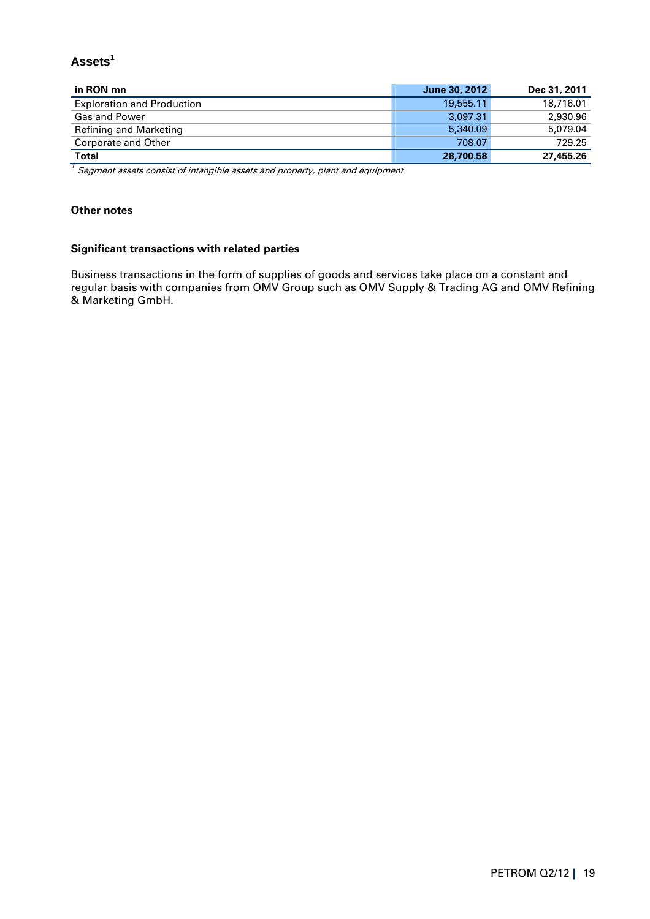## **Assets<sup>1</sup>**

| in RON mn                         | June 30, 2012 | Dec 31, 2011 |
|-----------------------------------|---------------|--------------|
| <b>Exploration and Production</b> | 19,555,11     | 18,716.01    |
| <b>Gas and Power</b>              | 3.097.31      | 2.930.96     |
| <b>Refining and Marketing</b>     | 5,340.09      | 5,079.04     |
| Corporate and Other               | 708.07        | 729.25       |
| <b>Total</b>                      | 28,700.58     | 27,455.26    |

 $^{\prime}$  Segment assets consist of intangible assets and property, plant and equipment

## **Other notes**

## **Significant transactions with related parties**

Business transactions in the form of supplies of goods and services take place on a constant and regular basis with companies from OMV Group such as OMV Supply & Trading AG and OMV Refining & Marketing GmbH.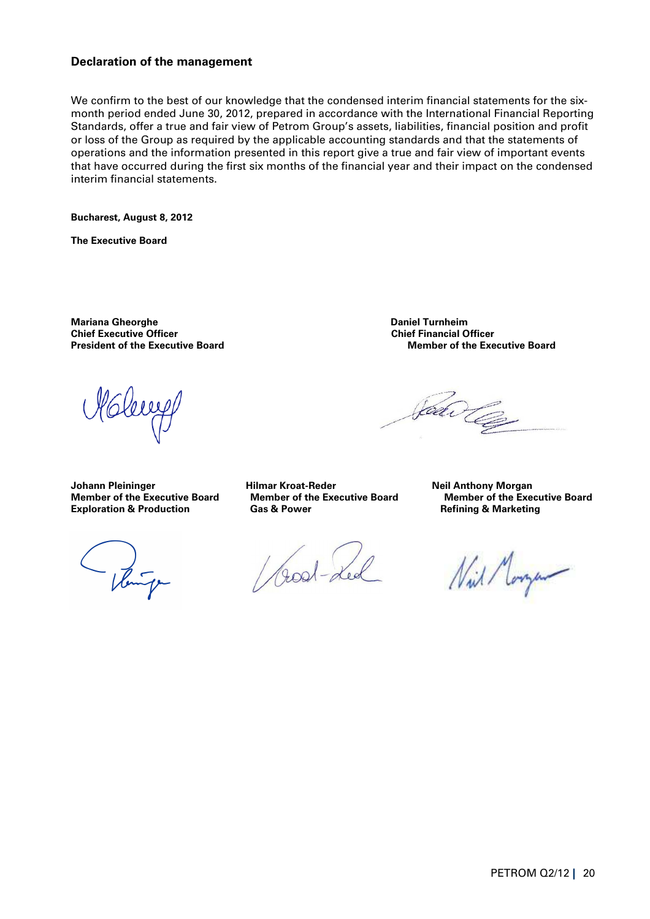## **Declaration of the management**

We confirm to the best of our knowledge that the condensed interim financial statements for the sixmonth period ended June 30, 2012, prepared in accordance with the International Financial Reporting Standards, offer a true and fair view of Petrom Group's assets, liabilities, financial position and profit or loss of the Group as required by the applicable accounting standards and that the statements of operations and the information presented in this report give a true and fair view of important events that have occurred during the first six months of the financial year and their impact on the condensed interim financial statements.

**Bucharest, August 8, 2012** 

**The Executive Board** 

**Mariana Gheorghe Daniel Turnheim Chief Executive Officer** 

Johann Pleininger **Hilmar Kroat-Reder** (Johann Pleininger and Mergan **Hilmar Kroat-Reder** (Johann Plein Anthony Morgan **Member of the Exe**<br>Member of the Executive Board (Member of the Executive Board (Member of the Exe **Exploration & Production** 

- Venuite

/ Good-Led

**President of the Executive Board Community Community President of the Executive Board President of the Executive Board** 

Jean Co

**Member of the Executive Board Member of the Executive Board Cas & Power Common Common Board Cas & Power Common** 

Nil Morgan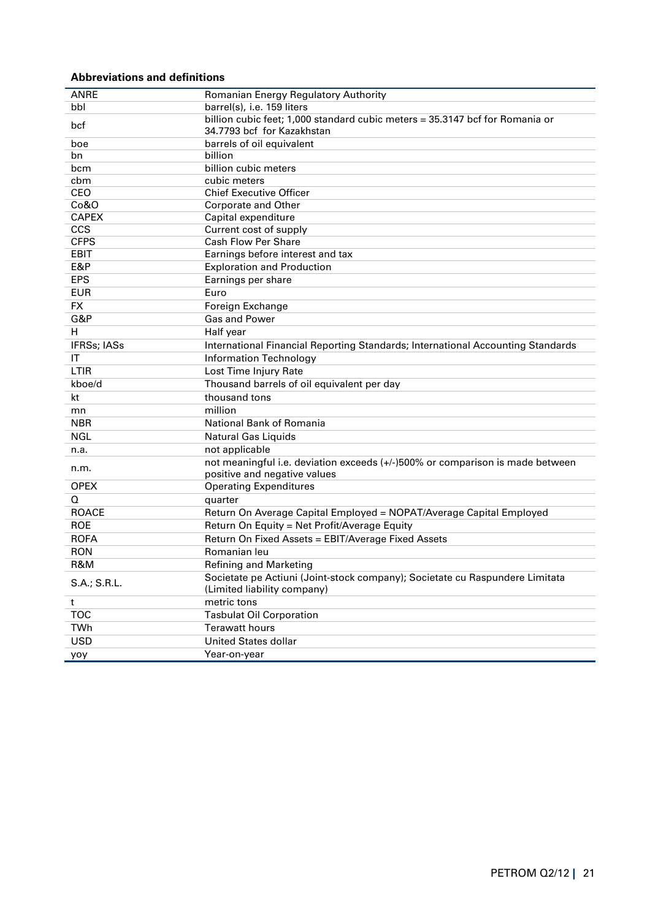#### **Abbreviations and definitions**

| <b>ANRE</b>                                                                                              | Romanian Energy Regulatory Authority                                                                                                                                                                                                                                                                                                                                                                                                                                                                            |
|----------------------------------------------------------------------------------------------------------|-----------------------------------------------------------------------------------------------------------------------------------------------------------------------------------------------------------------------------------------------------------------------------------------------------------------------------------------------------------------------------------------------------------------------------------------------------------------------------------------------------------------|
| bbl                                                                                                      | barrel(s), i.e. 159 liters                                                                                                                                                                                                                                                                                                                                                                                                                                                                                      |
|                                                                                                          | billion cubic feet; 1,000 standard cubic meters = 35.3147 bcf for Romania or                                                                                                                                                                                                                                                                                                                                                                                                                                    |
| bcf                                                                                                      | 34.7793 bcf for Kazakhstan                                                                                                                                                                                                                                                                                                                                                                                                                                                                                      |
| boe                                                                                                      | barrels of oil equivalent                                                                                                                                                                                                                                                                                                                                                                                                                                                                                       |
| bn                                                                                                       | billion                                                                                                                                                                                                                                                                                                                                                                                                                                                                                                         |
| bcm                                                                                                      | billion cubic meters                                                                                                                                                                                                                                                                                                                                                                                                                                                                                            |
| cbm                                                                                                      | cubic meters                                                                                                                                                                                                                                                                                                                                                                                                                                                                                                    |
| CEO                                                                                                      | <b>Chief Executive Officer</b>                                                                                                                                                                                                                                                                                                                                                                                                                                                                                  |
| Co&O                                                                                                     | Corporate and Other                                                                                                                                                                                                                                                                                                                                                                                                                                                                                             |
| <b>CAPEX</b>                                                                                             | Capital expenditure                                                                                                                                                                                                                                                                                                                                                                                                                                                                                             |
| CCS                                                                                                      | Current cost of supply                                                                                                                                                                                                                                                                                                                                                                                                                                                                                          |
| <b>CFPS</b>                                                                                              | <b>Cash Flow Per Share</b>                                                                                                                                                                                                                                                                                                                                                                                                                                                                                      |
| <b>EBIT</b>                                                                                              | Earnings before interest and tax                                                                                                                                                                                                                                                                                                                                                                                                                                                                                |
| E&P                                                                                                      | <b>Exploration and Production</b>                                                                                                                                                                                                                                                                                                                                                                                                                                                                               |
| <b>EPS</b>                                                                                               | Earnings per share                                                                                                                                                                                                                                                                                                                                                                                                                                                                                              |
| <b>EUR</b>                                                                                               | Euro                                                                                                                                                                                                                                                                                                                                                                                                                                                                                                            |
| <b>FX</b>                                                                                                | Foreign Exchange                                                                                                                                                                                                                                                                                                                                                                                                                                                                                                |
| G&P                                                                                                      | <b>Gas and Power</b>                                                                                                                                                                                                                                                                                                                                                                                                                                                                                            |
| н                                                                                                        | Half year                                                                                                                                                                                                                                                                                                                                                                                                                                                                                                       |
| <b>IFRSs; IASs</b>                                                                                       | International Financial Reporting Standards; International Accounting Standards                                                                                                                                                                                                                                                                                                                                                                                                                                 |
| IT                                                                                                       | <b>Information Technology</b>                                                                                                                                                                                                                                                                                                                                                                                                                                                                                   |
| LTIR                                                                                                     | Lost Time Injury Rate                                                                                                                                                                                                                                                                                                                                                                                                                                                                                           |
| kboe/d                                                                                                   | Thousand barrels of oil equivalent per day                                                                                                                                                                                                                                                                                                                                                                                                                                                                      |
| kt                                                                                                       | thousand tons                                                                                                                                                                                                                                                                                                                                                                                                                                                                                                   |
| mn                                                                                                       | million                                                                                                                                                                                                                                                                                                                                                                                                                                                                                                         |
| <b>NBR</b>                                                                                               | National Bank of Romania                                                                                                                                                                                                                                                                                                                                                                                                                                                                                        |
| <b>NGL</b>                                                                                               | <b>Natural Gas Liquids</b>                                                                                                                                                                                                                                                                                                                                                                                                                                                                                      |
| n.a.                                                                                                     | not applicable                                                                                                                                                                                                                                                                                                                                                                                                                                                                                                  |
|                                                                                                          | not meaningful i.e. deviation exceeds (+/-)500% or comparison is made between                                                                                                                                                                                                                                                                                                                                                                                                                                   |
| n.m.                                                                                                     | positive and negative values                                                                                                                                                                                                                                                                                                                                                                                                                                                                                    |
| <b>OPEX</b>                                                                                              |                                                                                                                                                                                                                                                                                                                                                                                                                                                                                                                 |
| Q                                                                                                        |                                                                                                                                                                                                                                                                                                                                                                                                                                                                                                                 |
| <b>ROACE</b>                                                                                             |                                                                                                                                                                                                                                                                                                                                                                                                                                                                                                                 |
|                                                                                                          |                                                                                                                                                                                                                                                                                                                                                                                                                                                                                                                 |
|                                                                                                          |                                                                                                                                                                                                                                                                                                                                                                                                                                                                                                                 |
|                                                                                                          |                                                                                                                                                                                                                                                                                                                                                                                                                                                                                                                 |
|                                                                                                          |                                                                                                                                                                                                                                                                                                                                                                                                                                                                                                                 |
|                                                                                                          |                                                                                                                                                                                                                                                                                                                                                                                                                                                                                                                 |
|                                                                                                          |                                                                                                                                                                                                                                                                                                                                                                                                                                                                                                                 |
| t                                                                                                        |                                                                                                                                                                                                                                                                                                                                                                                                                                                                                                                 |
|                                                                                                          |                                                                                                                                                                                                                                                                                                                                                                                                                                                                                                                 |
|                                                                                                          |                                                                                                                                                                                                                                                                                                                                                                                                                                                                                                                 |
|                                                                                                          |                                                                                                                                                                                                                                                                                                                                                                                                                                                                                                                 |
|                                                                                                          |                                                                                                                                                                                                                                                                                                                                                                                                                                                                                                                 |
| <b>ROE</b><br><b>ROFA</b><br><b>RON</b><br>R&M<br>S.A.; S.R.L.<br><b>TOC</b><br>TWh<br><b>USD</b><br>yoy | <b>Operating Expenditures</b><br>quarter<br>Return On Average Capital Employed = NOPAT/Average Capital Employed<br>Return On Equity = Net Profit/Average Equity<br>Return On Fixed Assets = EBIT/Average Fixed Assets<br>Romanian leu<br><b>Refining and Marketing</b><br>Societate pe Actiuni (Joint-stock company); Societate cu Raspundere Limitata<br>(Limited liability company)<br>metric tons<br><b>Tasbulat Oil Corporation</b><br><b>Terawatt hours</b><br><b>United States dollar</b><br>Year-on-year |